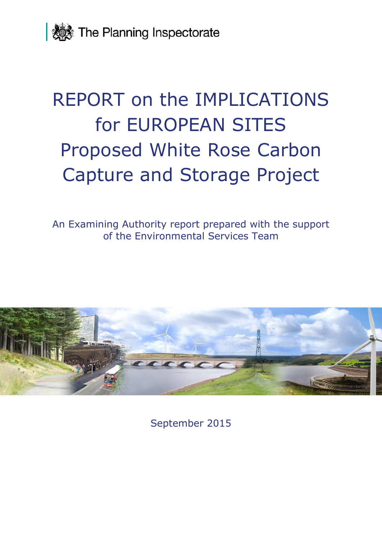

# REPORT on the IMPLICATIONS for EUROPEAN SITES Proposed White Rose Carbon Capture and Storage Project

An Examining Authority report prepared with the support of the Environmental Services Team



September 2015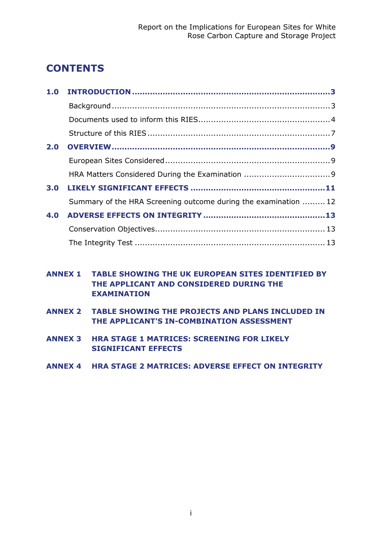# **CONTENTS**

| 2.0 |                                                                 |  |
|-----|-----------------------------------------------------------------|--|
|     |                                                                 |  |
|     |                                                                 |  |
| 3.0 |                                                                 |  |
|     | Summary of the HRA Screening outcome during the examination  12 |  |
| 4.0 |                                                                 |  |
|     |                                                                 |  |
|     |                                                                 |  |
|     |                                                                 |  |

#### **ANNEX 1 TABLE SHOWING THE UK EUROPEAN SITES IDENTIFIED BY THE APPLICANT AND CONSIDERED DURING THE EXAMINATION**

- **ANNEX 2 TABLE SHOWING THE PROJECTS AND PLANS INCLUDED IN THE APPLICANT'S IN-COMBINATION ASSESSMENT**
- **ANNEX 3 HRA STAGE 1 MATRICES: SCREENING FOR LIKELY SIGNIFICANT EFFECTS**
- **ANNEX 4 HRA STAGE 2 MATRICES: ADVERSE EFFECT ON INTEGRITY**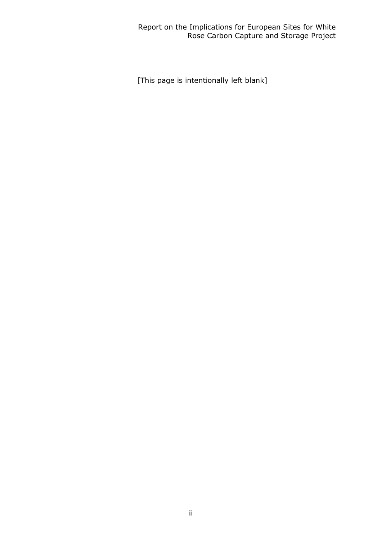[This page is intentionally left blank]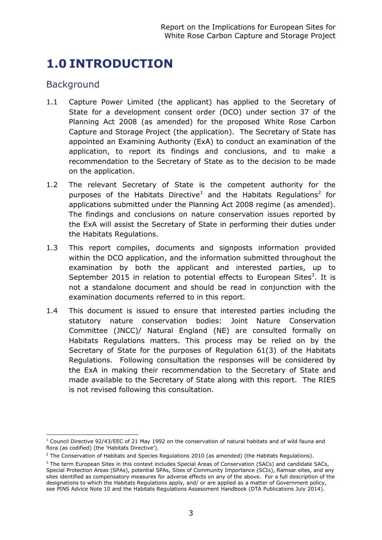# <span id="page-4-0"></span>**1.0 INTRODUCTION**

### <span id="page-4-1"></span>**Background**

- 1.1 Capture Power Limited (the applicant) has applied to the Secretary of State for a development consent order (DCO) under section 37 of the Planning Act 2008 (as amended) for the proposed White Rose Carbon Capture and Storage Project (the application). The Secretary of State has appointed an Examining Authority (ExA) to conduct an examination of the application, to report its findings and conclusions, and to make a recommendation to the Secretary of State as to the decision to be made on the application.
- 1.2 The relevant Secretary of State is the competent authority for the purposes of the Habitats Directive<sup>1</sup> and the Habitats Regulations<sup>2</sup> for applications submitted under the Planning Act 2008 regime (as amended). The findings and conclusions on nature conservation issues reported by the ExA will assist the Secretary of State in performing their duties under the Habitats Regulations.
- 1.3 This report compiles, documents and signposts information provided within the DCO application, and the information submitted throughout the examination by both the applicant and interested parties, up to September 2015 in relation to potential effects to European Sites<sup>3</sup>. It is not a standalone document and should be read in conjunction with the examination documents referred to in this report.
- 1.4 This document is issued to ensure that interested parties including the statutory nature conservation bodies: Joint Nature Conservation Committee (JNCC)/ Natural England (NE) are consulted formally on Habitats Regulations matters. This process may be relied on by the Secretary of State for the purposes of Regulation 61(3) of the Habitats Regulations. Following consultation the responses will be considered by the ExA in making their recommendation to the Secretary of State and made available to the Secretary of State along with this report. The RIES is not revised following this consultation.

**<sup>.</sup>**  $1$  Council Directive 92/43/EEC of 21 May 1992 on the conservation of natural habitats and of wild fauna and flora (as codified) (the 'Habitats Directive').

<sup>&</sup>lt;sup>2</sup> The Conservation of Habitats and Species Regulations 2010 (as amended) (the Habitats Regulations).

 $3$  The term European Sites in this context includes Special Areas of Conservation (SACs) and candidate SACs, Special Protection Areas (SPAs), potential SPAs, Sites of Community Importance (SCIs), Ramsar sites, and any sites identified as compensatory measures for adverse effects on any of the above. For a full description of the designations to which the Habitats Regulations apply, and/ or are applied as a matter of Government policy, see PINS Advice Note 10 and the Habitats Regulations Assessment Handbook (DTA Publications July 2014).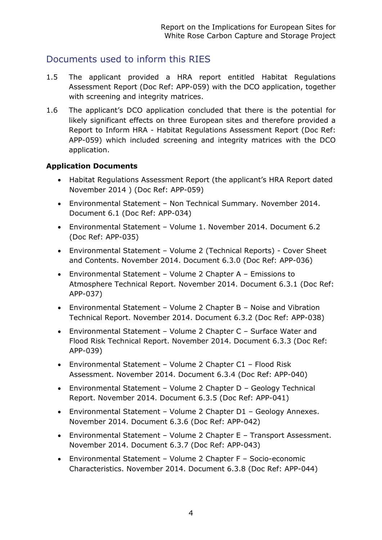### <span id="page-5-0"></span>Documents used to inform this RIES

- 1.5 The applicant provided a HRA report entitled Habitat Regulations Assessment Report (Doc Ref: APP-059) with the DCO application, together with screening and integrity matrices.
- 1.6 The applicant's DCO application concluded that there is the potential for likely significant effects on three European sites and therefore provided a Report to Inform HRA - Habitat Regulations Assessment Report (Doc Ref: APP-059) which included screening and integrity matrices with the DCO application.

#### **Application Documents**

- Habitat Regulations Assessment Report (the applicant's HRA Report dated November 2014 ) (Doc Ref: APP-059)
- Environmental Statement Non Technical Summary. November 2014. Document 6.1 (Doc Ref: APP-034)
- Environmental Statement Volume 1. November 2014. Document 6.2 (Doc Ref: APP-035)
- Environmental Statement Volume 2 (Technical Reports) Cover Sheet and Contents. November 2014. Document 6.3.0 (Doc Ref: APP-036)
- Environmental Statement Volume 2 Chapter A Emissions to Atmosphere Technical Report. November 2014. Document 6.3.1 (Doc Ref: APP-037)
- Environmental Statement Volume 2 Chapter B Noise and Vibration Technical Report. November 2014. Document 6.3.2 (Doc Ref: APP-038)
- Environmental Statement Volume 2 Chapter C Surface Water and Flood Risk Technical Report. November 2014. Document 6.3.3 (Doc Ref: APP-039)
- Environmental Statement Volume 2 Chapter C1 Flood Risk Assessment. November 2014. Document 6.3.4 (Doc Ref: APP-040)
- Environmental Statement Volume 2 Chapter D Geology Technical Report. November 2014. Document 6.3.5 (Doc Ref: APP-041)
- Environmental Statement Volume 2 Chapter D1 Geology Annexes. November 2014. Document 6.3.6 (Doc Ref: APP-042)
- Environmental Statement Volume 2 Chapter E Transport Assessment. November 2014. Document 6.3.7 (Doc Ref: APP-043)
- Environmental Statement Volume 2 Chapter F Socio-economic Characteristics. November 2014. Document 6.3.8 (Doc Ref: APP-044)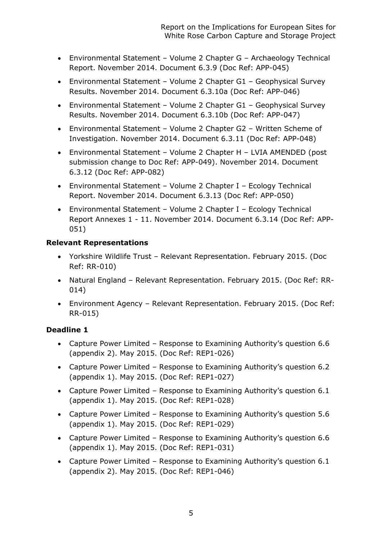- Environmental Statement Volume 2 Chapter G Archaeology Technical Report. November 2014. Document 6.3.9 (Doc Ref: APP-045)
- Environmental Statement Volume 2 Chapter G1 Geophysical Survey Results. November 2014. Document 6.3.10a (Doc Ref: APP-046)
- Environmental Statement Volume 2 Chapter G1 Geophysical Survey Results. November 2014. Document 6.3.10b (Doc Ref: APP-047)
- Environmental Statement Volume 2 Chapter G2 Written Scheme of Investigation. November 2014. Document 6.3.11 (Doc Ref: APP-048)
- Environmental Statement Volume 2 Chapter H LVIA AMENDED (post submission change to Doc Ref: APP-049). November 2014. Document 6.3.12 (Doc Ref: APP-082)
- Environmental Statement Volume 2 Chapter I Ecology Technical Report. November 2014. Document 6.3.13 (Doc Ref: APP-050)
- Environmental Statement Volume 2 Chapter I Ecology Technical Report Annexes 1 - 11. November 2014. Document 6.3.14 (Doc Ref: APP-051)

#### **Relevant Representations**

- Yorkshire Wildlife Trust Relevant Representation. February 2015. (Doc Ref: RR-010)
- Natural England Relevant Representation. February 2015. (Doc Ref: RR-014)
- Environment Agency Relevant Representation. February 2015. (Doc Ref: RR-015)

#### **Deadline 1**

- Capture Power Limited Response to Examining Authority's question 6.6 (appendix 2). May 2015. (Doc Ref: REP1-026)
- Capture Power Limited Response to Examining Authority's question 6.2 (appendix 1). May 2015. (Doc Ref: REP1-027)
- Capture Power Limited Response to Examining Authority's question 6.1 (appendix 1). May 2015. (Doc Ref: REP1-028)
- Capture Power Limited Response to Examining Authority's question 5.6 (appendix 1). May 2015. (Doc Ref: REP1-029)
- Capture Power Limited Response to Examining Authority's question 6.6 (appendix 1). May 2015. (Doc Ref: REP1-031)
- Capture Power Limited Response to Examining Authority's question 6.1 (appendix 2). May 2015. (Doc Ref: REP1-046)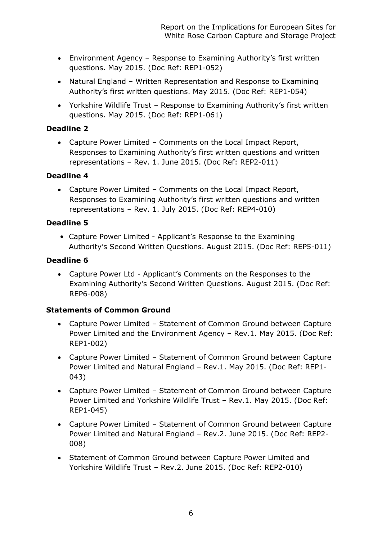- Environment Agency Response to Examining Authority's first written questions. May 2015. (Doc Ref: REP1-052)
- Natural England Written Representation and Response to Examining Authority's first written questions. May 2015. (Doc Ref: REP1-054)
- Yorkshire Wildlife Trust Response to Examining Authority's first written questions. May 2015. (Doc Ref: REP1-061)

#### **Deadline 2**

 Capture Power Limited – Comments on the Local Impact Report, Responses to Examining Authority's first written questions and written representations – Rev. 1. June 2015. (Doc Ref: REP2-011)

#### **Deadline 4**

 Capture Power Limited – Comments on the Local Impact Report, Responses to Examining Authority's first written questions and written representations – Rev. 1. July 2015. (Doc Ref: REP4-010)

#### **Deadline 5**

• Capture Power Limited - Applicant's Response to the Examining Authority's Second Written Questions. August 2015. (Doc Ref: REP5-011)

#### **Deadline 6**

 Capture Power Ltd - Applicant's Comments on the Responses to the Examining Authority's Second Written Questions. August 2015. (Doc Ref: REP6-008)

#### **Statements of Common Ground**

- Capture Power Limited Statement of Common Ground between Capture Power Limited and the Environment Agency – Rev.1. May 2015. (Doc Ref: REP1-002)
- Capture Power Limited Statement of Common Ground between Capture Power Limited and Natural England – Rev.1. May 2015. (Doc Ref: REP1- 043)
- Capture Power Limited Statement of Common Ground between Capture Power Limited and Yorkshire Wildlife Trust – Rev.1. May 2015. (Doc Ref: REP1-045)
- Capture Power Limited Statement of Common Ground between Capture Power Limited and Natural England – Rev.2. June 2015. (Doc Ref: REP2- 008)
- Statement of Common Ground between Capture Power Limited and Yorkshire Wildlife Trust – Rev.2. June 2015. (Doc Ref: REP2-010)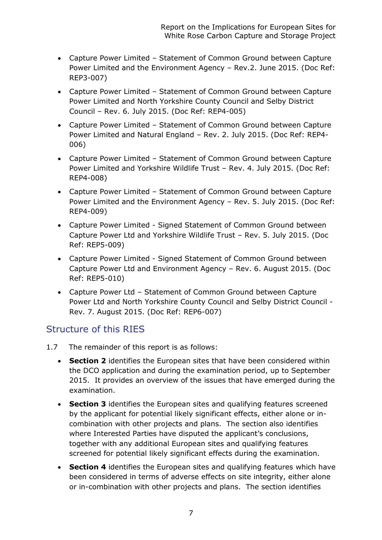- Capture Power Limited Statement of Common Ground between Capture Power Limited and the Environment Agency – Rev.2. June 2015. (Doc Ref: REP3-007)
- Capture Power Limited Statement of Common Ground between Capture Power Limited and North Yorkshire County Council and Selby District Council – Rev. 6. July 2015. (Doc Ref: REP4-005)
- Capture Power Limited Statement of Common Ground between Capture Power Limited and Natural England – Rev. 2. July 2015. (Doc Ref: REP4- 006)
- Capture Power Limited Statement of Common Ground between Capture Power Limited and Yorkshire Wildlife Trust – Rev. 4. July 2015. (Doc Ref: REP4-008)
- Capture Power Limited Statement of Common Ground between Capture Power Limited and the Environment Agency – Rev. 5. July 2015. (Doc Ref: REP4-009)
- Capture Power Limited Signed Statement of Common Ground between Capture Power Ltd and Yorkshire Wildlife Trust – Rev. 5. July 2015. (Doc Ref: REP5-009)
- Capture Power Limited Signed Statement of Common Ground between Capture Power Ltd and Environment Agency – Rev. 6. August 2015. (Doc Ref: REP5-010)
- Capture Power Ltd Statement of Common Ground between Capture Power Ltd and North Yorkshire County Council and Selby District Council - Rev. 7. August 2015. (Doc Ref: REP6-007)

### <span id="page-8-0"></span>Structure of this RIES

- 1.7 The remainder of this report is as follows:
	- **Section 2** identifies the European sites that have been considered within the DCO application and during the examination period, up to September 2015. It provides an overview of the issues that have emerged during the examination.
	- **Section 3** identifies the European sites and qualifying features screened by the applicant for potential likely significant effects, either alone or incombination with other projects and plans. The section also identifies where Interested Parties have disputed the applicant's conclusions, together with any additional European sites and qualifying features screened for potential likely significant effects during the examination.
	- **Section 4** identifies the European sites and qualifying features which have been considered in terms of adverse effects on site integrity, either alone or in-combination with other projects and plans. The section identifies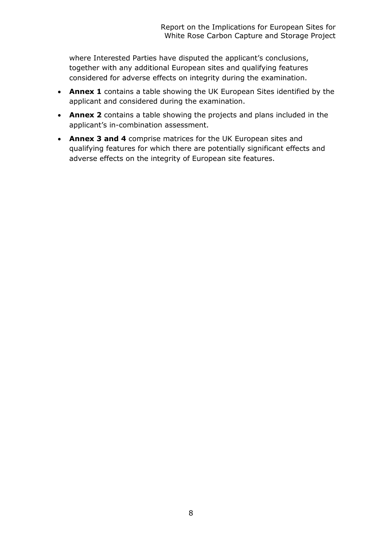where Interested Parties have disputed the applicant's conclusions, together with any additional European sites and qualifying features considered for adverse effects on integrity during the examination.

- **Annex 1** contains a table showing the UK European Sites identified by the applicant and considered during the examination.
- **Annex 2** contains a table showing the projects and plans included in the applicant's in-combination assessment.
- **Annex 3 and 4** comprise matrices for the UK European sites and qualifying features for which there are potentially significant effects and adverse effects on the integrity of European site features.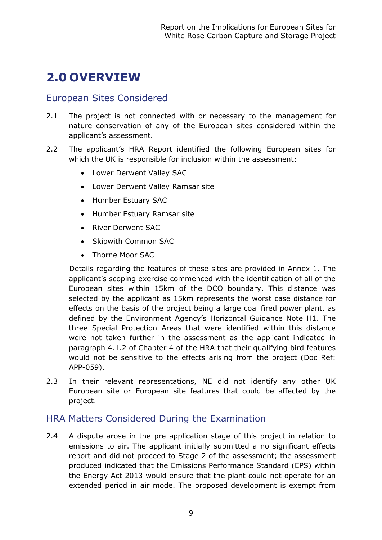# <span id="page-10-0"></span>**2.0 OVERVIEW**

### <span id="page-10-1"></span>European Sites Considered

- 2.1 The project is not connected with or necessary to the management for nature conservation of any of the European sites considered within the applicant's assessment.
- 2.2 The applicant's HRA Report identified the following European sites for which the UK is responsible for inclusion within the assessment:
	- Lower Derwent Valley SAC
	- Lower Derwent Valley Ramsar site
	- Humber Estuary SAC
	- Humber Estuary Ramsar site
	- River Derwent SAC
	- Skipwith Common SAC
	- Thorne Moor SAC

Details regarding the features of these sites are provided in Annex 1. The applicant's scoping exercise commenced with the identification of all of the European sites within 15km of the DCO boundary. This distance was selected by the applicant as 15km represents the worst case distance for effects on the basis of the project being a large coal fired power plant, as defined by the Environment Agency's Horizontal Guidance Note H1. The three Special Protection Areas that were identified within this distance were not taken further in the assessment as the applicant indicated in paragraph 4.1.2 of Chapter 4 of the HRA that their qualifying bird features would not be sensitive to the effects arising from the project (Doc Ref: APP-059).

2.3 In their relevant representations, NE did not identify any other UK European site or European site features that could be affected by the project.

### <span id="page-10-2"></span>HRA Matters Considered During the Examination

2.4 A dispute arose in the pre application stage of this project in relation to emissions to air. The applicant initially submitted a no significant effects report and did not proceed to Stage 2 of the assessment; the assessment produced indicated that the Emissions Performance Standard (EPS) within the Energy Act 2013 would ensure that the plant could not operate for an extended period in air mode. The proposed development is exempt from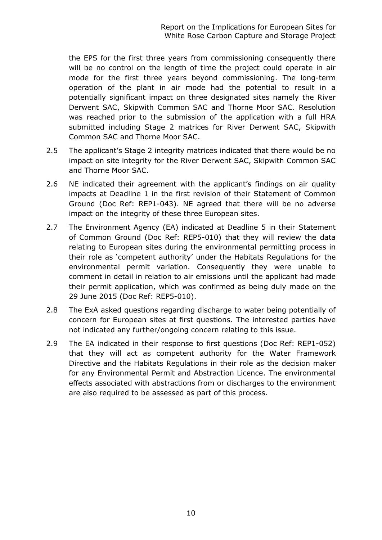the EPS for the first three years from commissioning consequently there will be no control on the length of time the project could operate in air mode for the first three years beyond commissioning. The long-term operation of the plant in air mode had the potential to result in a potentially significant impact on three designated sites namely the River Derwent SAC, Skipwith Common SAC and Thorne Moor SAC. Resolution was reached prior to the submission of the application with a full HRA submitted including Stage 2 matrices for River Derwent SAC, Skipwith Common SAC and Thorne Moor SAC.

- 2.5 The applicant's Stage 2 integrity matrices indicated that there would be no impact on site integrity for the River Derwent SAC, Skipwith Common SAC and Thorne Moor SAC.
- 2.6 NE indicated their agreement with the applicant's findings on air quality impacts at Deadline 1 in the first revision of their Statement of Common Ground (Doc Ref: REP1-043). NE agreed that there will be no adverse impact on the integrity of these three European sites.
- 2.7 The Environment Agency (EA) indicated at Deadline 5 in their Statement of Common Ground (Doc Ref: REP5-010) that they will review the data relating to European sites during the environmental permitting process in their role as 'competent authority' under the Habitats Regulations for the environmental permit variation. Consequently they were unable to comment in detail in relation to air emissions until the applicant had made their permit application, which was confirmed as being duly made on the 29 June 2015 (Doc Ref: REP5-010).
- 2.8 The ExA asked questions regarding discharge to water being potentially of concern for European sites at first questions. The interested parties have not indicated any further/ongoing concern relating to this issue.
- 2.9 The EA indicated in their response to first questions (Doc Ref: REP1-052) that they will act as competent authority for the Water Framework Directive and the Habitats Regulations in their role as the decision maker for any Environmental Permit and Abstraction Licence. The environmental effects associated with abstractions from or discharges to the environment are also required to be assessed as part of this process.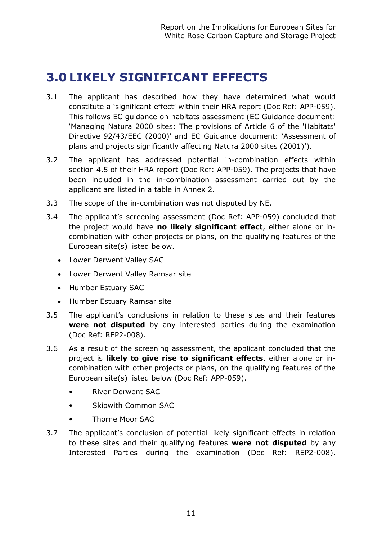# <span id="page-12-0"></span>**3.0 LIKELY SIGNIFICANT EFFECTS**

- 3.1 The applicant has described how they have determined what would constitute a 'significant effect' within their HRA report (Doc Ref: APP-059). This follows EC guidance on habitats assessment (EC Guidance document: 'Managing Natura 2000 sites: The provisions of Article 6 of the 'Habitats' Directive 92/43/EEC (2000)' and EC Guidance document: 'Assessment of plans and projects significantly affecting Natura 2000 sites (2001)').
- 3.2 The applicant has addressed potential in-combination effects within section 4.5 of their HRA report (Doc Ref: APP-059). The projects that have been included in the in-combination assessment carried out by the applicant are listed in a table in Annex 2.
- 3.3 The scope of the in-combination was not disputed by NE.
- 3.4 The applicant's screening assessment (Doc Ref: APP-059) concluded that the project would have **no likely significant effect**, either alone or incombination with other projects or plans, on the qualifying features of the European site(s) listed below.
	- Lower Derwent Valley SAC
	- Lower Derwent Valley Ramsar site
	- Humber Estuary SAC
	- Humber Estuary Ramsar site
- 3.5 The applicant's conclusions in relation to these sites and their features **were not disputed** by any interested parties during the examination (Doc Ref: REP2-008).
- 3.6 As a result of the screening assessment, the applicant concluded that the project is **likely to give rise to significant effects**, either alone or incombination with other projects or plans, on the qualifying features of the European site(s) listed below (Doc Ref: APP-059).
	- River Derwent SAC
	- Skipwith Common SAC
	- Thorne Moor SAC
- 3.7 The applicant's conclusion of potential likely significant effects in relation to these sites and their qualifying features **were not disputed** by any Interested Parties during the examination (Doc Ref: REP2-008).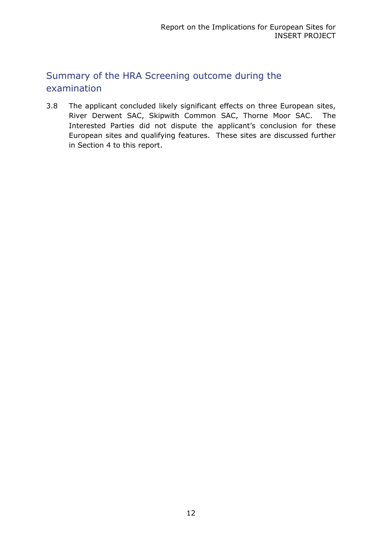# <span id="page-13-0"></span>Summary of the HRA Screening outcome during the examination

3.8 The applicant concluded likely significant effects on three European sites, River Derwent SAC, Skipwith Common SAC, Thorne Moor SAC. The Interested Parties did not dispute the applicant's conclusion for these European sites and qualifying features. These sites are discussed further in Section 4 to this report.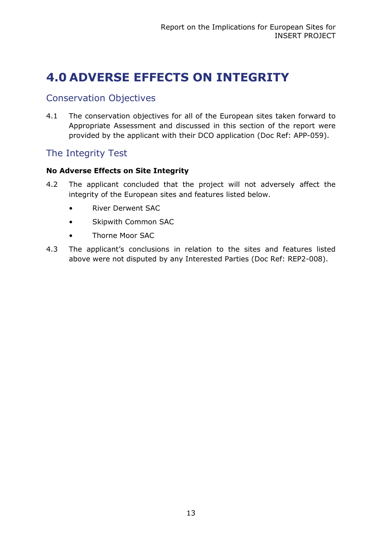# <span id="page-14-0"></span>**4.0 ADVERSE EFFECTS ON INTEGRITY**

### <span id="page-14-1"></span>Conservation Objectives

4.1 The conservation objectives for all of the European sites taken forward to Appropriate Assessment and discussed in this section of the report were provided by the applicant with their DCO application (Doc Ref: APP-059).

### <span id="page-14-2"></span>The Integrity Test

#### **No Adverse Effects on Site Integrity**

- 4.2 The applicant concluded that the project will not adversely affect the integrity of the European sites and features listed below.
	- River Derwent SAC
	- Skipwith Common SAC
	- Thorne Moor SAC
- 4.3 The applicant's conclusions in relation to the sites and features listed above were not disputed by any Interested Parties (Doc Ref: REP2-008).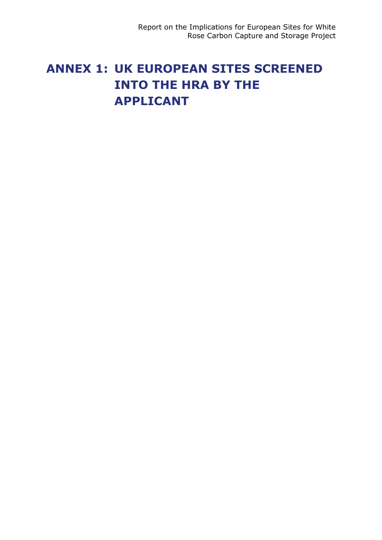# **ANNEX 1: UK EUROPEAN SITES SCREENED INTO THE HRA BY THE APPLICANT**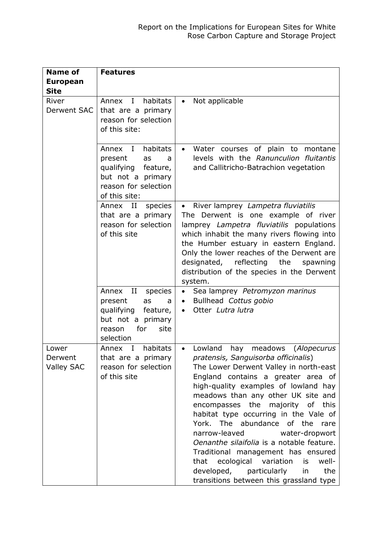| <b>Name of</b>                        | <b>Features</b>                                                                                                                            |                                                                                                                                                                                                                                                                                                                                                                                                                                                                                                                                                                                                                                                       |
|---------------------------------------|--------------------------------------------------------------------------------------------------------------------------------------------|-------------------------------------------------------------------------------------------------------------------------------------------------------------------------------------------------------------------------------------------------------------------------------------------------------------------------------------------------------------------------------------------------------------------------------------------------------------------------------------------------------------------------------------------------------------------------------------------------------------------------------------------------------|
| <b>European</b>                       |                                                                                                                                            |                                                                                                                                                                                                                                                                                                                                                                                                                                                                                                                                                                                                                                                       |
| <b>Site</b>                           |                                                                                                                                            |                                                                                                                                                                                                                                                                                                                                                                                                                                                                                                                                                                                                                                                       |
| River<br>Derwent SAC                  | habitats<br>Annex<br>L<br>that are a primary<br>reason for selection<br>of this site:                                                      | Not applicable<br>$\bullet$                                                                                                                                                                                                                                                                                                                                                                                                                                                                                                                                                                                                                           |
|                                       | Annex I<br>habitats<br>present<br>as<br>a<br>qualifying<br>feature,<br>but not a primary<br>reason for selection<br>of this site:          | Water courses of plain to montane<br>$\bullet$<br>levels with the Ranunculion fluitantis<br>and Callitricho-Batrachion vegetation                                                                                                                                                                                                                                                                                                                                                                                                                                                                                                                     |
|                                       | Annex<br>$_{\rm II}$<br>species<br>that are a primary<br>reason for selection<br>of this site                                              | River lamprey Lampetra fluviatilis<br>$\bullet$<br>The Derwent is one example of river<br>lamprey Lampetra fluviatilis populations<br>which inhabit the many rivers flowing into<br>the Humber estuary in eastern England.<br>Only the lower reaches of the Derwent are<br>designated, reflecting<br>the<br>spawning<br>distribution of the species in the Derwent<br>system.                                                                                                                                                                                                                                                                         |
|                                       | species<br>Annex<br>$_{\rm II}$<br>present<br>as<br>a<br>qualifying<br>feature,<br>but not a primary<br>for<br>reason<br>site<br>selection | Sea lamprey Petromyzon marinus<br>$\bullet$<br>Bullhead Cottus gobio<br>$\bullet$<br>Otter Lutra lutra<br>$\bullet$                                                                                                                                                                                                                                                                                                                                                                                                                                                                                                                                   |
| Lower<br>Derwent<br><b>Valley SAC</b> | habitats<br>$\bf{I}$<br>Annex<br>that are a primary<br>reason for selection<br>of this site                                                | Lowland<br>hay<br>meadows<br><i>(Alopecurus</i><br>$\bullet$<br>pratensis, Sanguisorba officinalis)<br>The Lower Derwent Valley in north-east<br>England contains a greater area of<br>high-quality examples of lowland hay<br>meadows than any other UK site and<br>encompasses the<br>majority<br>of this<br>habitat type occurring in the Vale of<br>York. The abundance of the<br>rare<br>narrow-leaved<br>water-dropwort<br>Oenanthe silaifolia is a notable feature.<br>Traditional management has ensured<br>ecological variation<br>well-<br>that<br>is<br>developed,<br>particularly<br>the<br>in<br>transitions between this grassland type |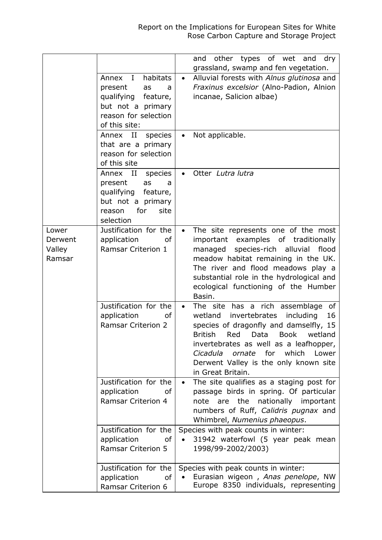|                  |                                                                                                                                                 |           | other types of wet<br>and<br>dry<br>and                                                                                                                                                                                                                                                                                                      |
|------------------|-------------------------------------------------------------------------------------------------------------------------------------------------|-----------|----------------------------------------------------------------------------------------------------------------------------------------------------------------------------------------------------------------------------------------------------------------------------------------------------------------------------------------------|
|                  |                                                                                                                                                 |           | grassland, swamp and fen vegetation.                                                                                                                                                                                                                                                                                                         |
|                  | $\mathbf{I}$<br>habitats<br>Annex<br>present<br>as<br>a<br>qualifying<br>feature,<br>but not a primary<br>reason for selection<br>of this site: | $\bullet$ | Alluvial forests with Alnus glutinosa and<br>Fraxinus excelsior (Alno-Padion, Alnion<br>incanae, Salicion albae)                                                                                                                                                                                                                             |
|                  | П<br>Annex                                                                                                                                      |           |                                                                                                                                                                                                                                                                                                                                              |
|                  | species<br>that are a primary<br>reason for selection<br>of this site                                                                           |           | Not applicable.                                                                                                                                                                                                                                                                                                                              |
|                  | Annex II<br>species<br>present<br>as<br>a<br>qualifying<br>feature,<br>but not a primary<br>for<br>site<br>reason<br>selection                  |           | Otter Lutra lutra                                                                                                                                                                                                                                                                                                                            |
| Lower            | Justification for the                                                                                                                           |           | The site represents one of the most                                                                                                                                                                                                                                                                                                          |
| Derwent          | application<br><sub>of</sub>                                                                                                                    |           | important examples of traditionally                                                                                                                                                                                                                                                                                                          |
| Valley<br>Ramsar | Ramsar Criterion 1                                                                                                                              |           | species-rich alluvial<br>flood<br>managed<br>meadow habitat remaining in the UK.<br>The river and flood meadows play a<br>substantial role in the hydrological and<br>ecological functioning of the Humber<br>Basin.                                                                                                                         |
|                  | Justification for the<br><sub>of</sub><br>application<br><b>Ramsar Criterion 2</b>                                                              |           | The site has a rich assemblage<br>οf<br>wetland<br>invertebrates<br>including<br>16<br>species of dragonfly and damselfly, 15<br><b>British</b><br>Data<br><b>Book</b><br>wetland<br>Red<br>invertebrates as well as a leafhopper,<br>which<br>Cicadula<br>ornate for<br>Lower<br>Derwent Valley is the only known site<br>in Great Britain. |
|                  | Justification for the<br>application<br>οf<br><b>Ramsar Criterion 4</b>                                                                         | $\bullet$ | The site qualifies as a staging post for<br>passage birds in spring. Of particular<br>nationally<br>note are the<br>important<br>numbers of Ruff, Calidris pugnax and<br>Whimbrel, Numenius phaeopus.                                                                                                                                        |
|                  | Justification for the<br><b>of</b><br>application<br><b>Ramsar Criterion 5</b>                                                                  | $\bullet$ | Species with peak counts in winter:<br>31942 waterfowl (5 year peak mean<br>1998/99-2002/2003)                                                                                                                                                                                                                                               |
|                  | Justification for the<br>application<br><b>of</b><br>Ramsar Criterion 6                                                                         |           | Species with peak counts in winter:<br>Eurasian wigeon, Anas penelope, NW<br>Europe 8350 individuals, representing                                                                                                                                                                                                                           |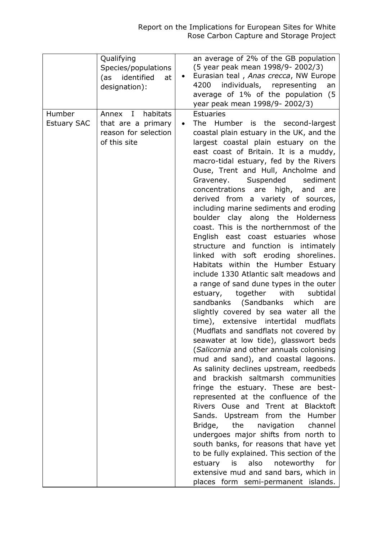|                              | Qualifying<br>Species/populations<br>identified<br>(as<br>at<br>designation):     | an average of 2% of the GB population<br>(5 year peak mean 1998/9- 2002/3)<br>Eurasian teal, Anas crecca, NW Europe<br>٠<br>individuals, representing<br>4200<br>an<br>average of 1% of the population (5<br>year peak mean 1998/9- 2002/3) |                                                                                                                                                                                                                                                                                                                                                                                                                                                                                                                                                                                                                                                                                                                                                                                                                                                                                                                                                                                                                                                                                                                                                                                                                                                                                                                                                                                                                                                                                                                                                                       |  |
|------------------------------|-----------------------------------------------------------------------------------|---------------------------------------------------------------------------------------------------------------------------------------------------------------------------------------------------------------------------------------------|-----------------------------------------------------------------------------------------------------------------------------------------------------------------------------------------------------------------------------------------------------------------------------------------------------------------------------------------------------------------------------------------------------------------------------------------------------------------------------------------------------------------------------------------------------------------------------------------------------------------------------------------------------------------------------------------------------------------------------------------------------------------------------------------------------------------------------------------------------------------------------------------------------------------------------------------------------------------------------------------------------------------------------------------------------------------------------------------------------------------------------------------------------------------------------------------------------------------------------------------------------------------------------------------------------------------------------------------------------------------------------------------------------------------------------------------------------------------------------------------------------------------------------------------------------------------------|--|
| Humber<br><b>Estuary SAC</b> | Annex I<br>habitats<br>that are a primary<br>reason for selection<br>of this site | $\bullet$                                                                                                                                                                                                                                   | <b>Estuaries</b><br>The<br>Humber is the second-largest<br>coastal plain estuary in the UK, and the<br>largest coastal plain estuary on the<br>east coast of Britain. It is a muddy,<br>macro-tidal estuary, fed by the Rivers<br>Ouse, Trent and Hull, Ancholme and<br>Graveney.<br>Suspended<br>sediment<br>concentrations are<br>high, and<br>are<br>derived from a variety of sources,<br>including marine sediments and eroding<br>boulder clay along the Holderness<br>coast. This is the northernmost of the<br>English east coast estuaries whose<br>structure and function is intimately<br>linked with soft eroding shorelines.<br>Habitats within the Humber Estuary<br>include 1330 Atlantic salt meadows and<br>a range of sand dune types in the outer<br>estuary, together with<br>subtidal<br>sandbanks (Sandbanks which<br>are<br>slightly covered by sea water all the<br>time), extensive intertidal mudflats<br>(Mudflats and sandflats not covered by<br>seawater at low tide), glasswort beds<br>(Salicornia and other annuals colonising<br>mud and sand), and coastal lagoons.<br>As salinity declines upstream, reedbeds<br>and brackish saltmarsh communities<br>fringe the estuary. These are best-<br>represented at the confluence of the<br>Rivers Ouse and Trent at Blacktoft<br>Humber<br>Sands. Upstream from the<br>the<br>Bridge,<br>navigation channel<br>undergoes major shifts from north to<br>south banks, for reasons that have yet<br>to be fully explained. This section of the<br>also<br>noteworthy<br>estuary is<br>for |  |
|                              |                                                                                   |                                                                                                                                                                                                                                             | extensive mud and sand bars, which in<br>places form semi-permanent islands.                                                                                                                                                                                                                                                                                                                                                                                                                                                                                                                                                                                                                                                                                                                                                                                                                                                                                                                                                                                                                                                                                                                                                                                                                                                                                                                                                                                                                                                                                          |  |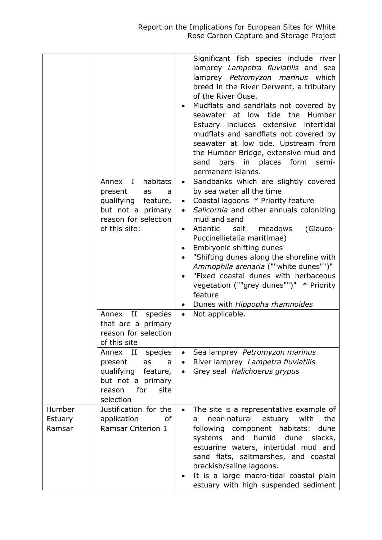|                             | Annex I habitats<br>present<br>as<br>a<br>qualifying<br>feature,<br>but not a primary<br>reason for selection<br>of this site:    | Significant fish species include river<br>lamprey Lampetra fluviatilis and sea<br>lamprey Petromyzon marinus which<br>breed in the River Derwent, a tributary<br>of the River Ouse.<br>Mudflats and sandflats not covered by<br>seawater at low<br>tide the<br>Humber<br>Estuary includes extensive intertidal<br>mudflats and sandflats not covered by<br>seawater at low tide. Upstream from<br>the Humber Bridge, extensive mud and<br>sand<br>bars<br>in places form<br>semi-<br>permanent islands.<br>Sandbanks which are slightly covered<br>$\bullet$<br>by sea water all the time<br>Coastal lagoons * Priority feature<br>$\bullet$<br>Salicornia and other annuals colonizing<br>$\bullet$<br>mud and sand<br>Atlantic<br>salt<br>meadows<br>(Glauco-<br>$\bullet$<br>Puccinellietalia maritimae)<br>Embryonic shifting dunes<br>"Shifting dunes along the shoreline with<br>Ammophila arenaria (""white dunes"")"<br>"Fixed coastal dunes with herbaceous<br>vegetation (""grey dunes"")" * Priority<br>feature |
|-----------------------------|-----------------------------------------------------------------------------------------------------------------------------------|----------------------------------------------------------------------------------------------------------------------------------------------------------------------------------------------------------------------------------------------------------------------------------------------------------------------------------------------------------------------------------------------------------------------------------------------------------------------------------------------------------------------------------------------------------------------------------------------------------------------------------------------------------------------------------------------------------------------------------------------------------------------------------------------------------------------------------------------------------------------------------------------------------------------------------------------------------------------------------------------------------------------------|
|                             | П<br>species<br>Annex<br>that are a primary<br>reason for selection<br>of this site                                               | Dunes with Hippopha rhamnoides<br>$\bullet$<br>Not applicable.<br>$\bullet$                                                                                                                                                                                                                                                                                                                                                                                                                                                                                                                                                                                                                                                                                                                                                                                                                                                                                                                                                |
|                             | II<br>Annex<br>species<br>present<br>as<br>a<br>qualifying<br>feature,<br>but not a primary<br>for<br>site<br>reason<br>selection | Sea lamprey Petromyzon marinus<br>$\bullet$<br>River lamprey Lampetra fluviatilis<br>$\bullet$<br>Grey seal Halichoerus grypus<br>$\bullet$                                                                                                                                                                                                                                                                                                                                                                                                                                                                                                                                                                                                                                                                                                                                                                                                                                                                                |
| Humber<br>Estuary<br>Ramsar | Justification for the<br>application<br>οf<br>Ramsar Criterion 1                                                                  | The site is a representative example of<br>near-natural<br>estuary<br>the<br>with<br>a<br>following component habitats:<br>dune<br>humid<br>systems<br>and<br>dune<br>slacks,<br>estuarine waters, intertidal mud and<br>sand flats, saltmarshes, and coastal<br>brackish/saline lagoons.<br>It is a large macro-tidal coastal plain<br>estuary with high suspended sediment                                                                                                                                                                                                                                                                                                                                                                                                                                                                                                                                                                                                                                               |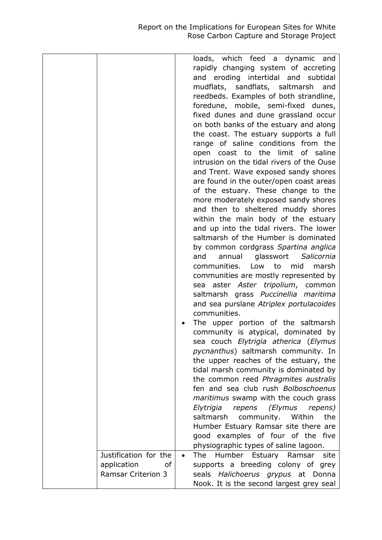|                           |           | loads, which feed a dynamic and           |  |
|---------------------------|-----------|-------------------------------------------|--|
|                           |           | rapidly changing system of accreting      |  |
|                           |           | and eroding intertidal and subtidal       |  |
|                           |           |                                           |  |
|                           |           | mudflats, sandflats, saltmarsh<br>and     |  |
|                           |           | reedbeds. Examples of both strandline,    |  |
|                           |           | foredune, mobile, semi-fixed dunes,       |  |
|                           |           | fixed dunes and dune grassland occur      |  |
|                           |           |                                           |  |
|                           |           | on both banks of the estuary and along    |  |
|                           |           | the coast. The estuary supports a full    |  |
|                           |           | range of saline conditions from the       |  |
|                           |           | open coast to the limit of saline         |  |
|                           |           | intrusion on the tidal rivers of the Ouse |  |
|                           |           |                                           |  |
|                           |           | and Trent. Wave exposed sandy shores      |  |
|                           |           | are found in the outer/open coast areas   |  |
|                           |           | of the estuary. These change to the       |  |
|                           |           | more moderately exposed sandy shores      |  |
|                           |           | and then to sheltered muddy shores        |  |
|                           |           |                                           |  |
|                           |           | within the main body of the estuary       |  |
|                           |           | and up into the tidal rivers. The lower   |  |
|                           |           | saltmarsh of the Humber is dominated      |  |
|                           |           | by common cordgrass Spartina anglica      |  |
|                           |           | glasswort Salicornia<br>and<br>annual     |  |
|                           |           |                                           |  |
|                           |           | communities. Low to mid<br>marsh          |  |
|                           |           | communities are mostly represented by     |  |
|                           |           | aster Aster tripolium, common<br>sea      |  |
|                           |           | saltmarsh grass Puccinellia maritima      |  |
|                           |           | and sea purslane Atriplex portulacoides   |  |
|                           |           |                                           |  |
|                           |           | communities.                              |  |
|                           |           | The upper portion of the saltmarsh        |  |
|                           |           | community is atypical, dominated by       |  |
|                           |           | sea couch Elytrigia atherica (Elymus      |  |
|                           |           | pycnanthus) saltmarsh community. In       |  |
|                           |           |                                           |  |
|                           |           | the upper reaches of the estuary, the     |  |
|                           |           | tidal marsh community is dominated by     |  |
|                           |           | the common reed Phragmites australis      |  |
|                           |           | fen and sea club rush Bolboschoenus       |  |
|                           |           | maritimus swamp with the couch grass      |  |
|                           |           |                                           |  |
|                           |           | Elytrigia<br>repens (Elymus<br>repens)    |  |
|                           |           | saltmarsh<br>the<br>community. Within     |  |
|                           |           | Humber Estuary Ramsar site there are      |  |
|                           |           | good examples of four of the five         |  |
|                           |           | physiographic types of saline lagoon.     |  |
| Justification for the     |           | The Humber Estuary Ramsar site            |  |
|                           | $\bullet$ |                                           |  |
| application<br>of         |           | supports a breeding colony of grey        |  |
| <b>Ramsar Criterion 3</b> |           | seals Halichoerus grypus at Donna         |  |
|                           |           | Nook. It is the second largest grey seal  |  |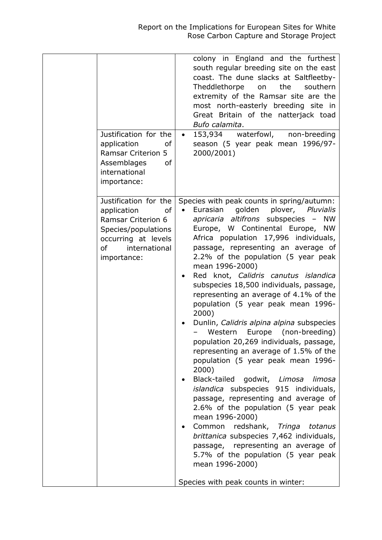| Justification for the<br>application<br>of<br><b>Ramsar Criterion 5</b><br>Assemblages<br><b>of</b><br>international<br>importance:                         | colony in England and the furthest<br>south regular breeding site on the east<br>coast. The dune slacks at Saltfleetby-<br>Theddlethorpe<br>the<br>southern<br>on<br>extremity of the Ramsar site are the<br>most north-easterly breeding site in<br>Great Britain of the natterjack toad<br>Bufo calamita.<br>153,934 waterfowl, non-breeding<br>$\bullet$<br>season (5 year peak mean 1996/97-<br>2000/2001)                                                                                                                                                                                                                                                                                                                                                                                                                                                                                                                                                                                                                                                                                                                   |
|-------------------------------------------------------------------------------------------------------------------------------------------------------------|----------------------------------------------------------------------------------------------------------------------------------------------------------------------------------------------------------------------------------------------------------------------------------------------------------------------------------------------------------------------------------------------------------------------------------------------------------------------------------------------------------------------------------------------------------------------------------------------------------------------------------------------------------------------------------------------------------------------------------------------------------------------------------------------------------------------------------------------------------------------------------------------------------------------------------------------------------------------------------------------------------------------------------------------------------------------------------------------------------------------------------|
| Justification for the<br><b>of</b><br>application<br>Ramsar Criterion 6<br>Species/populations<br>occurring at levels<br>0f<br>international<br>importance: | Species with peak counts in spring/autumn:<br>golden plover, Pluvialis<br>Eurasian<br>apricaria altifrons subspecies -<br><b>NW</b><br>Europe, W Continental Europe, NW<br>Africa population 17,996 individuals,<br>passage, representing an average of<br>2.2% of the population (5 year peak<br>mean 1996-2000)<br>Red knot, Calidris canutus islandica<br>subspecies 18,500 individuals, passage,<br>representing an average of 4.1% of the<br>population (5 year peak mean 1996-<br>2000)<br>Dunlin, Calidris alpina alpina subspecies<br>Western Europe (non-breeding)<br>population 20,269 individuals, passage,<br>representing an average of 1.5% of the<br>population (5 year peak mean 1996-<br>2000)<br>Black-tailed godwit, Limosa<br>limosa<br>islandica subspecies 915 individuals,<br>passage, representing and average of<br>2.6% of the population (5 year peak<br>mean 1996-2000)<br>Common<br>redshank, Tringa<br>totanus<br>brittanica subspecies 7,462 individuals,<br>passage, representing an average of<br>5.7% of the population (5 year peak<br>mean 1996-2000)<br>Species with peak counts in winter: |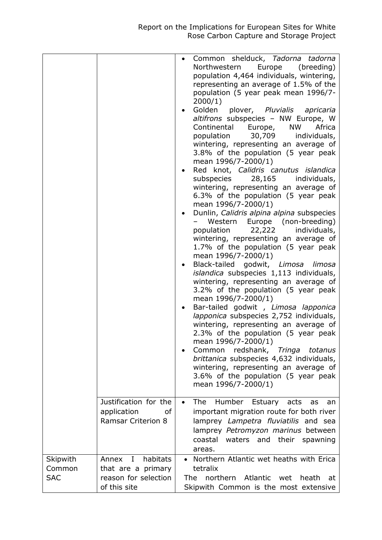Report on the Implications for European Sites for White Rose Carbon Capture and Storage Project

|                                  |                                                                                   | Common shelduck, Tadorna tadorna<br>$\bullet$<br>Northwestern Europe (breeding)<br>population 4,464 individuals, wintering,<br>representing an average of 1.5% of the<br>population (5 year peak mean 1996/7-<br>$2000/1$ )<br>Golden plover, Pluvialis apricaria<br>$\bullet$<br>altifrons subspecies - NW Europe, W<br>Continental<br>Europe,<br><b>NW</b><br>Africa<br>30,709<br>population<br>individuals,<br>wintering, representing an average of<br>3.8% of the population (5 year peak<br>mean 1996/7-2000/1)<br>Red knot, Calidris canutus islandica<br>28,165 individuals,<br>subspecies<br>wintering, representing an average of<br>6.3% of the population (5 year peak<br>mean 1996/7-2000/1)<br>Dunlin, Calidris alpina alpina subspecies<br>$\bullet$<br>Europe (non-breeding)<br>Western<br>population 22,222<br>individuals,<br>wintering, representing an average of<br>1.7% of the population (5 year peak<br>mean 1996/7-2000/1)<br>Black-tailed godwit, Limosa limosa<br>islandica subspecies 1,113 individuals,<br>wintering, representing an average of<br>3.2% of the population (5 year peak<br>mean 1996/7-2000/1)<br>Bar-tailed godwit, Limosa lapponica<br>lapponica subspecies 2,752 individuals,<br>wintering, representing an average of<br>2.3% of the population (5 year peak<br>mean 1996/7-2000/1)<br>redshank,<br>Common<br>Tringa<br>totanus<br>$\bullet$<br>brittanica subspecies 4,632 individuals,<br>wintering, representing an average of<br>3.6% of the population (5 year peak<br>mean 1996/7-2000/1) |
|----------------------------------|-----------------------------------------------------------------------------------|--------------------------------------------------------------------------------------------------------------------------------------------------------------------------------------------------------------------------------------------------------------------------------------------------------------------------------------------------------------------------------------------------------------------------------------------------------------------------------------------------------------------------------------------------------------------------------------------------------------------------------------------------------------------------------------------------------------------------------------------------------------------------------------------------------------------------------------------------------------------------------------------------------------------------------------------------------------------------------------------------------------------------------------------------------------------------------------------------------------------------------------------------------------------------------------------------------------------------------------------------------------------------------------------------------------------------------------------------------------------------------------------------------------------------------------------------------------------------------------------------------------------------------------------------|
|                                  | Justification for the<br>of<br>application<br><b>Ramsar Criterion 8</b>           | <b>The</b><br>Humber Estuary acts<br>$\bullet$<br>as<br>an.<br>important migration route for both river<br>lamprey Lampetra fluviatilis and sea<br>lamprey Petromyzon marinus between<br>coastal waters and their spawning<br>areas.                                                                                                                                                                                                                                                                                                                                                                                                                                                                                                                                                                                                                                                                                                                                                                                                                                                                                                                                                                                                                                                                                                                                                                                                                                                                                                             |
| Skipwith<br>Common<br><b>SAC</b> | habitats<br>Annex I<br>that are a primary<br>reason for selection<br>of this site | • Northern Atlantic wet heaths with Erica<br>tetralix<br>Atlantic wet<br>northern<br>The<br>heath<br>- at<br>Skipwith Common is the most extensive                                                                                                                                                                                                                                                                                                                                                                                                                                                                                                                                                                                                                                                                                                                                                                                                                                                                                                                                                                                                                                                                                                                                                                                                                                                                                                                                                                                               |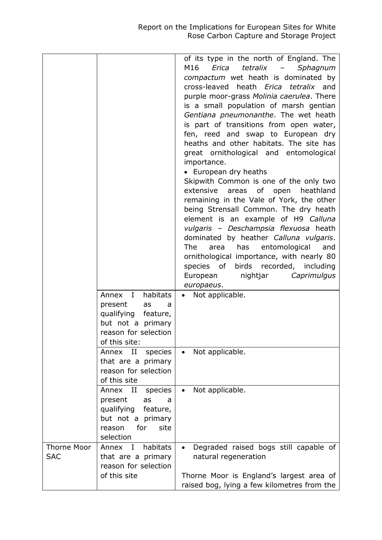|                                  |                                                                                                                                | of its type in the north of England. The<br>M16<br>Erica<br>tetralix<br>Sphagnum<br>$\overline{\phantom{m}}$<br>compactum wet heath is dominated by<br>cross-leaved heath Erica tetralix and<br>purple moor-grass Molinia caerulea. There<br>is a small population of marsh gentian<br>Gentiana pneumonanthe. The wet heath<br>is part of transitions from open water,<br>fen, reed and swap to European dry<br>heaths and other habitats. The site has<br>great ornithological and entomological<br>importance.<br>• European dry heaths<br>Skipwith Common is one of the only two<br>extensive<br>areas of open<br>heathland<br>remaining in the Vale of York, the other<br>being Strensall Common. The dry heath<br>element is an example of H9 Calluna<br>vulgaris - Deschampsia flexuosa heath<br>dominated by heather Calluna vulgaris. |
|----------------------------------|--------------------------------------------------------------------------------------------------------------------------------|-----------------------------------------------------------------------------------------------------------------------------------------------------------------------------------------------------------------------------------------------------------------------------------------------------------------------------------------------------------------------------------------------------------------------------------------------------------------------------------------------------------------------------------------------------------------------------------------------------------------------------------------------------------------------------------------------------------------------------------------------------------------------------------------------------------------------------------------------|
|                                  |                                                                                                                                | The<br>has<br>entomological<br>area<br>and<br>ornithological importance, with nearly 80<br>species of<br>birds recorded, including                                                                                                                                                                                                                                                                                                                                                                                                                                                                                                                                                                                                                                                                                                            |
|                                  |                                                                                                                                | Caprimulgus<br>European<br>nightjar<br>europaeus.                                                                                                                                                                                                                                                                                                                                                                                                                                                                                                                                                                                                                                                                                                                                                                                             |
|                                  | Annex I habitats<br>present<br>as<br>a<br>qualifying feature,<br>but not a primary<br>reason for selection<br>of this site:    | Not applicable.                                                                                                                                                                                                                                                                                                                                                                                                                                                                                                                                                                                                                                                                                                                                                                                                                               |
|                                  | $\rm II$<br>Annex<br>species<br>that are a primary<br>reason for selection<br>of this site                                     | Not applicable.                                                                                                                                                                                                                                                                                                                                                                                                                                                                                                                                                                                                                                                                                                                                                                                                                               |
|                                  | Annex II<br>species<br>present<br>as<br>a<br>qualifying<br>feature,<br>but not a primary<br>for<br>site<br>reason<br>selection | Not applicable.                                                                                                                                                                                                                                                                                                                                                                                                                                                                                                                                                                                                                                                                                                                                                                                                                               |
| <b>Thorne Moor</b><br><b>SAC</b> | Annex I<br>habitats<br>that are a primary<br>reason for selection                                                              | Degraded raised bogs still capable of<br>$\bullet$<br>natural regeneration                                                                                                                                                                                                                                                                                                                                                                                                                                                                                                                                                                                                                                                                                                                                                                    |
|                                  | of this site                                                                                                                   | Thorne Moor is England's largest area of<br>raised bog, lying a few kilometres from the                                                                                                                                                                                                                                                                                                                                                                                                                                                                                                                                                                                                                                                                                                                                                       |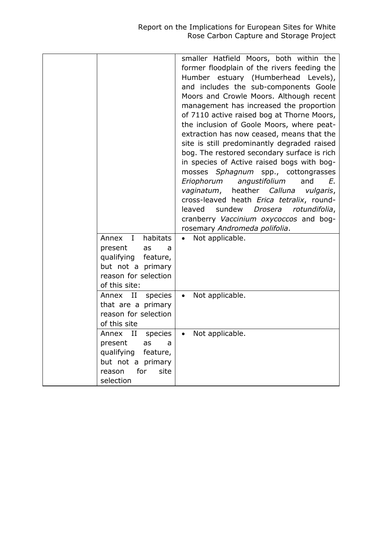| Annex I<br>habitats<br>present<br>as<br>a<br>qualifying feature,<br>but not a primary                                          | smaller Hatfield Moors, both within the<br>former floodplain of the rivers feeding the<br>Humber estuary (Humberhead Levels),<br>and includes the sub-components Goole<br>Moors and Crowle Moors. Although recent<br>management has increased the proportion<br>of 7110 active raised bog at Thorne Moors,<br>the inclusion of Goole Moors, where peat-<br>extraction has now ceased, means that the<br>site is still predominantly degraded raised<br>bog. The restored secondary surface is rich<br>in species of Active raised bogs with bog-<br>mosses Sphagnum spp., cottongrasses<br>angustifolium<br>Eriophorum<br>and<br>E.<br>vaginatum,<br>heather Calluna<br>vulgaris,<br>cross-leaved heath Erica tetralix, round-<br>sundew<br>rotundifolia,<br>leaved<br>Drosera<br>cranberry Vaccinium oxycoccos and bog-<br>rosemary Andromeda polifolia.<br>Not applicable.<br>$\bullet$ |
|--------------------------------------------------------------------------------------------------------------------------------|-------------------------------------------------------------------------------------------------------------------------------------------------------------------------------------------------------------------------------------------------------------------------------------------------------------------------------------------------------------------------------------------------------------------------------------------------------------------------------------------------------------------------------------------------------------------------------------------------------------------------------------------------------------------------------------------------------------------------------------------------------------------------------------------------------------------------------------------------------------------------------------------|
| reason for selection<br>of this site:                                                                                          |                                                                                                                                                                                                                                                                                                                                                                                                                                                                                                                                                                                                                                                                                                                                                                                                                                                                                           |
| species<br>Annex II<br>that are a primary<br>reason for selection<br>of this site                                              | Not applicable.                                                                                                                                                                                                                                                                                                                                                                                                                                                                                                                                                                                                                                                                                                                                                                                                                                                                           |
| Annex II<br>species<br>present<br>as<br>a<br>qualifying<br>feature,<br>but not a primary<br>for<br>site<br>reason<br>selection | Not applicable.                                                                                                                                                                                                                                                                                                                                                                                                                                                                                                                                                                                                                                                                                                                                                                                                                                                                           |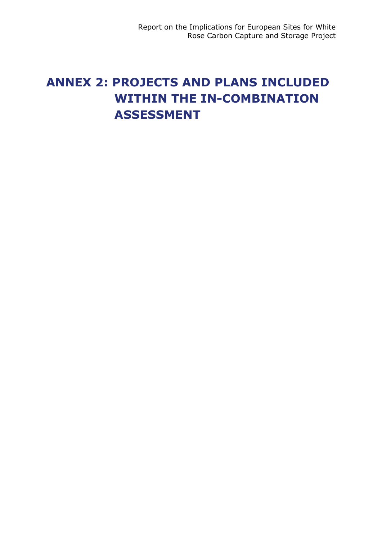# **ANNEX 2: PROJECTS AND PLANS INCLUDED WITHIN THE IN-COMBINATION ASSESSMENT**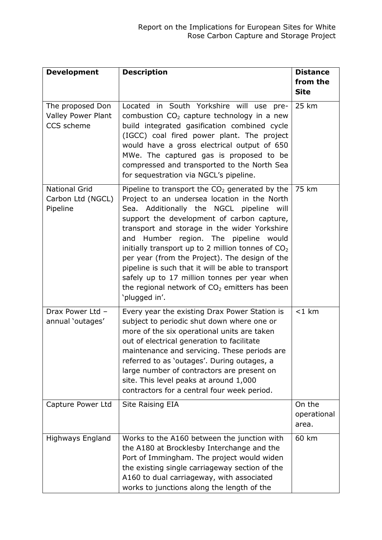| <b>Development</b>                                          | <b>Description</b>                                                                                                                                                                                                                                                                                                                                                                                                                                                                                                                                                     | <b>Distance</b><br>from the<br><b>Site</b> |
|-------------------------------------------------------------|------------------------------------------------------------------------------------------------------------------------------------------------------------------------------------------------------------------------------------------------------------------------------------------------------------------------------------------------------------------------------------------------------------------------------------------------------------------------------------------------------------------------------------------------------------------------|--------------------------------------------|
| The proposed Don<br><b>Valley Power Plant</b><br>CCS scheme | Located in South Yorkshire will use<br>pre-<br>combustion $CO2$ capture technology in a new<br>build integrated gasification combined cycle<br>(IGCC) coal fired power plant. The project<br>would have a gross electrical output of 650<br>MWe. The captured gas is proposed to be<br>compressed and transported to the North Sea<br>for sequestration via NGCL's pipeline.                                                                                                                                                                                           | 25 km                                      |
| <b>National Grid</b><br>Carbon Ltd (NGCL)<br>Pipeline       | Pipeline to transport the $CO2$ generated by the<br>Project to an undersea location in the North<br>Sea. Additionally the NGCL pipeline will<br>support the development of carbon capture,<br>transport and storage in the wider Yorkshire<br>and Humber region. The pipeline would<br>initially transport up to 2 million tonnes of $CO2$<br>per year (from the Project). The design of the<br>pipeline is such that it will be able to transport<br>safely up to 17 million tonnes per year when<br>the regional network of $CO2$ emitters has been<br>'plugged in'. | 75 km                                      |
| Drax Power Ltd -<br>annual 'outages'                        | Every year the existing Drax Power Station is<br>subject to periodic shut down where one or<br>more of the six operational units are taken<br>out of electrical generation to facilitate<br>maintenance and servicing. These periods are<br>referred to as 'outages'. During outages, a<br>large number of contractors are present on<br>site. This level peaks at around 1,000<br>contractors for a central four week period.                                                                                                                                         | $<$ 1 km                                   |
| Capture Power Ltd                                           | Site Raising EIA                                                                                                                                                                                                                                                                                                                                                                                                                                                                                                                                                       | On the<br>operational<br>area.             |
| <b>Highways England</b>                                     | Works to the A160 between the junction with<br>the A180 at Brocklesby Interchange and the<br>Port of Immingham. The project would widen<br>the existing single carriageway section of the<br>A160 to dual carriageway, with associated<br>works to junctions along the length of the                                                                                                                                                                                                                                                                                   | 60 km                                      |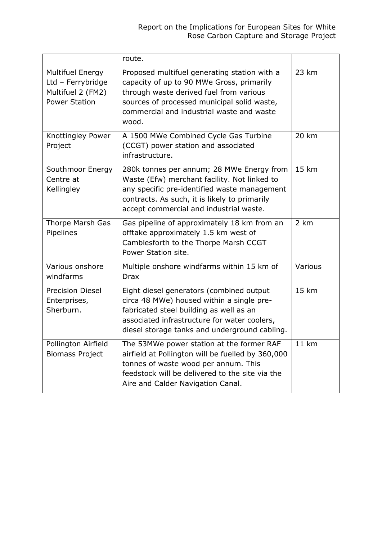|                                                                                           | route.                                                                                                                                                                                                                                    |         |
|-------------------------------------------------------------------------------------------|-------------------------------------------------------------------------------------------------------------------------------------------------------------------------------------------------------------------------------------------|---------|
| <b>Multifuel Energy</b><br>Ltd - Ferrybridge<br>Multifuel 2 (FM2)<br><b>Power Station</b> | Proposed multifuel generating station with a<br>capacity of up to 90 MWe Gross, primarily<br>through waste derived fuel from various<br>sources of processed municipal solid waste,<br>commercial and industrial waste and waste<br>wood. | 23 km   |
| Knottingley Power<br>Project                                                              | A 1500 MWe Combined Cycle Gas Turbine<br>(CCGT) power station and associated<br>infrastructure.                                                                                                                                           | 20 km   |
| Southmoor Energy<br>Centre at<br>Kellingley                                               | 280k tonnes per annum; 28 MWe Energy from<br>Waste (Efw) merchant facility. Not linked to<br>any specific pre-identified waste management<br>contracts. As such, it is likely to primarily<br>accept commercial and industrial waste.     | 15 km   |
| Thorpe Marsh Gas<br>Pipelines                                                             | Gas pipeline of approximately 18 km from an<br>offtake approximately 1.5 km west of<br>Camblesforth to the Thorpe Marsh CCGT<br>Power Station site.                                                                                       | 2 km    |
| Various onshore<br>windfarms                                                              | Multiple onshore windfarms within 15 km of<br><b>Drax</b>                                                                                                                                                                                 | Various |
| <b>Precision Diesel</b><br>Enterprises,<br>Sherburn.                                      | Eight diesel generators (combined output<br>circa 48 MWe) housed within a single pre-<br>fabricated steel building as well as an<br>associated infrastructure for water coolers,<br>diesel storage tanks and underground cabling.         | 15 km   |
| Pollington Airfield<br><b>Biomass Project</b>                                             | The 53MWe power station at the former RAF<br>airfield at Pollington will be fuelled by 360,000<br>tonnes of waste wood per annum. This<br>feedstock will be delivered to the site via the<br>Aire and Calder Navigation Canal.            | 11 km   |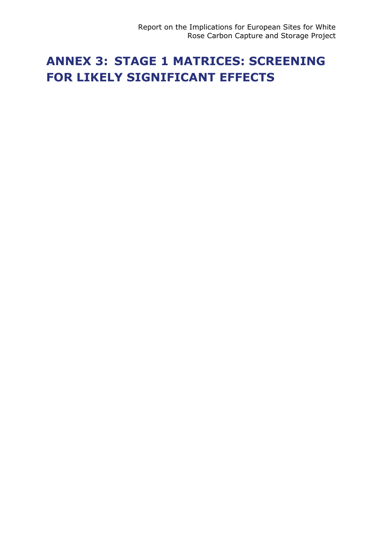# **ANNEX 3: STAGE 1 MATRICES: SCREENING FOR LIKELY SIGNIFICANT EFFECTS**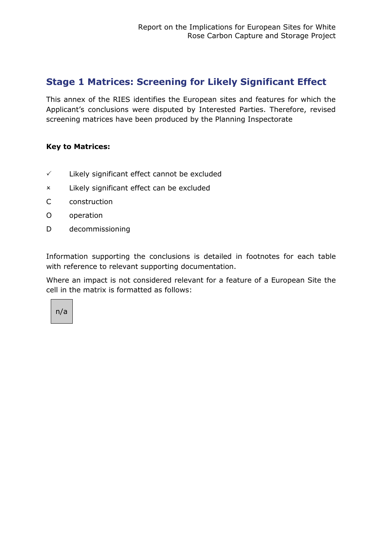# **Stage 1 Matrices: Screening for Likely Significant Effect**

This annex of the RIES identifies the European sites and features for which the Applicant's conclusions were disputed by Interested Parties. Therefore, revised screening matrices have been produced by the Planning Inspectorate

#### **Key to Matrices:**

- $\checkmark$  Likely significant effect cannot be excluded
- Likely significant effect can be excluded
- C construction
- O operation
- D decommissioning

Information supporting the conclusions is detailed in footnotes for each table with reference to relevant supporting documentation.

Where an impact is not considered relevant for a feature of a European Site the cell in the matrix is formatted as follows:

n/a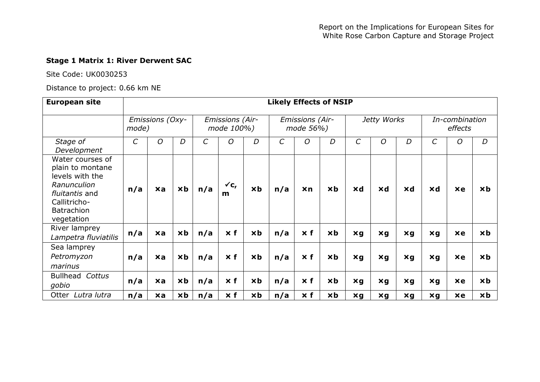#### **Stage 1 Matrix 1: River Derwent SAC**

Site Code: UK0030253

Distance to project: 0.66 km NE

| <b>European site</b>                                                                                                                        |                   |                        |                |     |                                      |                | <b>Likely Effects of NSIP</b> |                                     |                |            |             |            |                       |                           |                |
|---------------------------------------------------------------------------------------------------------------------------------------------|-------------------|------------------------|----------------|-----|--------------------------------------|----------------|-------------------------------|-------------------------------------|----------------|------------|-------------|------------|-----------------------|---------------------------|----------------|
|                                                                                                                                             | mode)             | <b>Emissions (Oxy-</b> |                |     | <b>Emissions (Air-</b><br>mode 100%) |                |                               | <b>Emissions (Air-</b><br>mode 56%) |                |            | Jetty Works |            |                       | In-combination<br>effects |                |
| Stage of<br>Development                                                                                                                     | $\mathcal{C}_{0}$ | O                      | D              | C   | O                                    | D              | $\mathcal{C}$                 | O                                   | D              | C          | O           | D          | $\mathcal{C}_{0}^{2}$ | O                         | D              |
| Water courses of<br>plain to montane<br>levels with the<br>Ranunculion<br>fluitantis and<br>Callitricho-<br><b>Batrachion</b><br>vegetation | n/a               | $x_{a}$                | x <sub>b</sub> | n/a | $\checkmark$ c,<br>m                 | x <sub>b</sub> | n/a                           | $x_n$                               | x <sub>b</sub> | $\times d$ | $\times d$  | $\times d$ | $\times d$            | xe                        | x <sub>b</sub> |
| River lamprey<br>Lampetra fluviatilis                                                                                                       | n/a               | x <sub>a</sub>         | x <sub>b</sub> | n/a | x f                                  | x <sub>b</sub> | n/a                           | x f                                 | x <sub>b</sub> | xg         | xg          | xq         | xg                    | xe                        | x <sub>b</sub> |
| Sea lamprey<br>Petromyzon<br>marinus                                                                                                        | n/a               | $x_{a}$                | x <sub>b</sub> | n/a | $\times f$                           | x <sub>b</sub> | n/a                           | $\times f$                          | x <sub>b</sub> | $x_{g}$    | $x_{g}$     | $x_{g}$    | xg                    | xe                        | x <sub>b</sub> |
| <b>Bullhead Cottus</b><br>gobio                                                                                                             | n/a               | $\times a$             | x <sub>b</sub> | n/a | $\times f$                           | x <sub>b</sub> | n/a                           | x f                                 | x <sub>b</sub> | xg         | xg          | xg         | xg                    | xe                        | x <sub>b</sub> |
| Otter Lutra lutra                                                                                                                           | n/a               | x <sub>a</sub>         | x <sub>b</sub> | n/a | $\times f$                           | $\times b$     | n/a                           | $\times f$                          | $\times b$     | $\times g$ | $\times g$  | xg         | $\times g$            | xe                        | x <sub>b</sub> |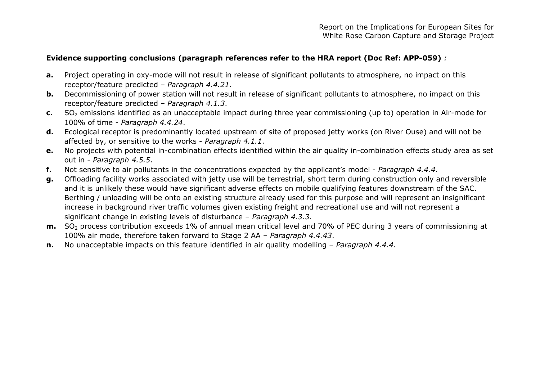- **a.** Project operating in oxy-mode will not result in release of significant pollutants to atmosphere, no impact on this receptor/feature predicted – *Paragraph 4.4.21*.
- **b.** Decommissioning of power station will not result in release of significant pollutants to atmosphere, no impact on this receptor/feature predicted – *Paragraph 4.1.3*.
- **c.** SO<sub>2</sub> emissions identified as an unacceptable impact during three year commissioning (up to) operation in Air-mode for 100% of time - *Paragraph 4.4.24*.
- **d.** Ecological receptor is predominantly located upstream of site of proposed jetty works (on River Ouse) and will not be affected by, or sensitive to the works - *Paragraph 4.1.1*.
- **e.** No projects with potential in-combination effects identified within the air quality in-combination effects study area as set out in - *Paragraph 4.5.5*.
- **f.** Not sensitive to air pollutants in the concentrations expected by the applicant's model *Paragraph 4.4.4*.
- **g.** Offloading facility works associated with jetty use will be terrestrial, short term during construction only and reversible and it is unlikely these would have significant adverse effects on mobile qualifying features downstream of the SAC. Berthing / unloading will be onto an existing structure already used for this purpose and will represent an insignificant increase in background river traffic volumes given existing freight and recreational use and will not represent a significant change in existing levels of disturbance – *Paragraph 4.3.3.*
- **m.** SO<sub>2</sub> process contribution exceeds 1% of annual mean critical level and 70% of PEC during 3 years of commissioning at 100% air mode, therefore taken forward to Stage 2 AA – *Paragraph 4.4.43*.
- **n.** No unacceptable impacts on this feature identified in air quality modelling *Paragraph 4.4.4*.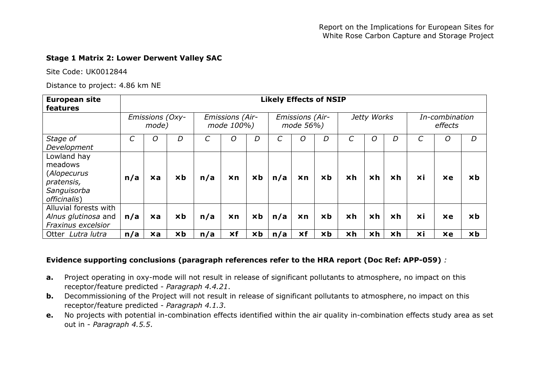#### **Stage 1 Matrix 2: Lower Derwent Valley SAC**

Site Code: UK0012844

Distance to project: 4.86 km NE

| <b>European site</b><br>features                                                   |     |                                 |                |     |                                      |                | <b>Likely Effects of NSIP</b> |                                     |                |                |                |                |                         |                           |                |
|------------------------------------------------------------------------------------|-----|---------------------------------|----------------|-----|--------------------------------------|----------------|-------------------------------|-------------------------------------|----------------|----------------|----------------|----------------|-------------------------|---------------------------|----------------|
|                                                                                    |     | <b>Emissions (Oxy-</b><br>mode) |                |     | <b>Emissions (Air-</b><br>mode 100%) |                |                               | <b>Emissions (Air-</b><br>mode 56%) |                |                | Jetty Works    |                |                         | In-combination<br>effects |                |
| Stage of<br>Development                                                            |     | O                               | D              |     | O                                    | D              |                               | O                                   | D              |                | O              | D              |                         | O                         | D              |
| Lowland hay<br>meadows<br>(Alopecurus<br>pratensis,<br>Sanguisorba<br>officinalis) | n/a | x <sub>a</sub>                  | x <sub>b</sub> | n/a | $x_{n}$                              | x <sub>b</sub> | n/a                           | x <sub>n</sub>                      | x <sub>b</sub> | x <sub>h</sub> | x <sub>h</sub> | x <sub>h</sub> | $\boldsymbol{\times}$ i | xe                        | x <sub>b</sub> |
| Alluvial forests with<br>Alnus glutinosa and<br>Fraxinus excelsior                 | n/a | $x_{a}$                         | x <sub>b</sub> | n/a | $x_n$                                | x <sub>b</sub> | n/a                           | $x_{n}$                             | x <sub>b</sub> | x <sub>h</sub> | x <sub>h</sub> | x <sub>h</sub> | xi                      | xe                        | $\times b$     |
| Otter Lutra lutra                                                                  | n/a | x <sub>a</sub>                  | x <sub>b</sub> | n/a | xf                                   | x <sub>b</sub> | n/a                           | xf                                  | x <sub>b</sub> | x <sub>h</sub> | x <sub>h</sub> | x <sub>h</sub> | $xi$ i                  | xe                        | x <sub>b</sub> |

- **a.** Project operating in oxy-mode will not result in release of significant pollutants to atmosphere, no impact on this receptor/feature predicted - *Paragraph 4.4.21*.
- **b.** Decommissioning of the Project will not result in release of significant pollutants to atmosphere, no impact on this receptor/feature predicted - *Paragraph 4.1.3*.
- **e.** No projects with potential in-combination effects identified within the air quality in-combination effects study area as set out in - *Paragraph 4.5.5*.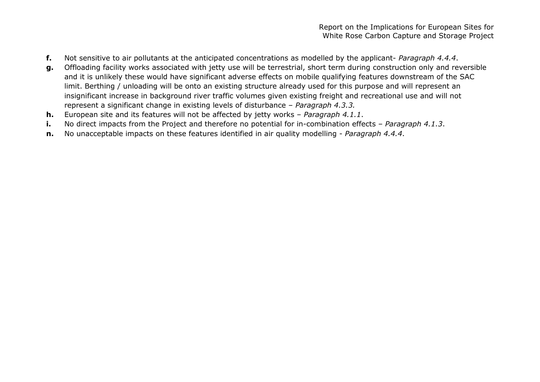- **f.** Not sensitive to air pollutants at the anticipated concentrations as modelled by the applicant- *Paragraph 4.4.4*.
- **g.** Offloading facility works associated with jetty use will be terrestrial, short term during construction only and reversible and it is unlikely these would have significant adverse effects on mobile qualifying features downstream of the SAC limit. Berthing / unloading will be onto an existing structure already used for this purpose and will represent an insignificant increase in background river traffic volumes given existing freight and recreational use and will not represent a significant change in existing levels of disturbance – *Paragraph 4.3.3.*
- **h.** European site and its features will not be affected by jetty works *Paragraph 4.1.1*.
- **i.** No direct impacts from the Project and therefore no potential for in-combination effects *Paragraph 4.1.3*.
- **n.** No unacceptable impacts on these features identified in air quality modelling *Paragraph 4.4.4*.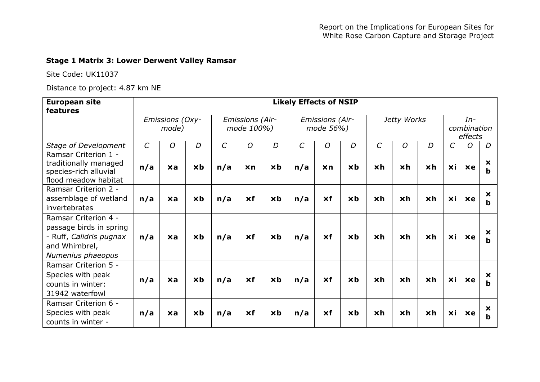#### **Stage 1 Matrix 3: Lower Derwent Valley Ramsar**

Site Code: UK11037

Distance to project: 4.87 km NE

| <b>European site</b><br>features                                                                                 |               |                                 |                |               |                                      |                | <b>Likely Effects of NSIP</b> |                                     |                |                |                |                |               |                                 |                                          |
|------------------------------------------------------------------------------------------------------------------|---------------|---------------------------------|----------------|---------------|--------------------------------------|----------------|-------------------------------|-------------------------------------|----------------|----------------|----------------|----------------|---------------|---------------------------------|------------------------------------------|
|                                                                                                                  |               | <b>Emissions (Oxy-</b><br>mode) |                |               | <b>Emissions (Air-</b><br>mode 100%) |                |                               | <b>Emissions (Air-</b><br>mode 56%) |                |                | Jetty Works    |                |               | $In-$<br>combination<br>effects |                                          |
| Stage of Development                                                                                             | $\mathcal{C}$ | $\overline{O}$                  | D              | $\mathcal{C}$ | O                                    | D              | С                             | O                                   | D              | C              | O              | D              | $\mathcal{C}$ | O                               | D                                        |
| Ramsar Criterion 1 -<br>traditionally managed<br>species-rich alluvial<br>flood meadow habitat                   | n/a           | $x_{a}$                         | x <sub>b</sub> | n/a           | $x_n$                                | x <sub>b</sub> | n/a                           | $x_{n}$                             | x <sub>b</sub> | x <sub>h</sub> | x <sub>h</sub> | x <sub>h</sub> | xi            | xe                              | $\boldsymbol{\mathsf{x}}$<br>$\mathbf b$ |
| Ramsar Criterion 2 -<br>assemblage of wetland<br>invertebrates                                                   | n/a           | $\times a$                      | x <sub>b</sub> | n/a           | xf                                   | x <sub>b</sub> | n/a                           | xf                                  | x <sub>b</sub> | x <sub>h</sub> | x <sub>h</sub> | x <sub>h</sub> | xi            | xe                              | $\boldsymbol{\mathsf{x}}$<br>$\mathbf b$ |
| Ramsar Criterion 4 -<br>passage birds in spring<br>- Ruff, Calidris pugnax<br>and Whimbrel,<br>Numenius phaeopus | n/a           | x <sub>a</sub>                  | x <sub>b</sub> | n/a           | xf                                   | x <sub>b</sub> | n/a                           | xf                                  | x <sub>b</sub> | x <sub>h</sub> | x <sub>h</sub> | x <sub>h</sub> | ×i            | xe                              | $\boldsymbol{\mathsf{x}}$<br>b           |
| Ramsar Criterion 5 -<br>Species with peak<br>counts in winter:<br>31942 waterfowl                                | n/a           | x <sub>a</sub>                  | x <sub>b</sub> | n/a           | xf                                   | x <sub>b</sub> | n/a                           | xf                                  | $\times b$     | x <sub>h</sub> | x <sub>h</sub> | x <sub>h</sub> | ×i            | xe                              | $\boldsymbol{\mathsf{x}}$<br>b           |
| Ramsar Criterion 6 -<br>Species with peak<br>counts in winter -                                                  | n/a           | $x_{a}$                         | x <sub>b</sub> | n/a           | xf                                   | x <sub>b</sub> | n/a                           | xf                                  | $\times b$     | $\times h$     | x <sub>h</sub> | x <sub>h</sub> | xi            | xe                              | $\boldsymbol{\mathsf{x}}$<br>b           |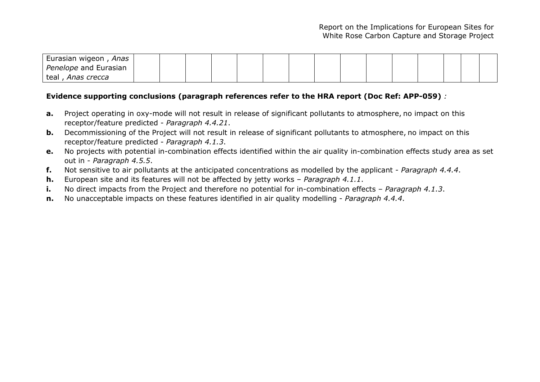| Eurasian wigeon, Anas |  |  |  |  |  |  |  |  |
|-----------------------|--|--|--|--|--|--|--|--|
| Penelope and Eurasian |  |  |  |  |  |  |  |  |
| teal , Anas crecca    |  |  |  |  |  |  |  |  |

- **a.** Project operating in oxy-mode will not result in release of significant pollutants to atmosphere, no impact on this receptor/feature predicted - *Paragraph 4.4.21*.
- **b.** Decommissioning of the Project will not result in release of significant pollutants to atmosphere, no impact on this receptor/feature predicted - *Paragraph 4.1.3*.
- **e.** No projects with potential in-combination effects identified within the air quality in-combination effects study area as set out in - *Paragraph 4.5.5*.
- **f.** Not sensitive to air pollutants at the anticipated concentrations as modelled by the applicant *Paragraph 4.4.4*.
- **h.** European site and its features will not be affected by jetty works *Paragraph 4.1.1*.
- **i.** No direct impacts from the Project and therefore no potential for in-combination effects *Paragraph 4.1.3*.
- **n.** No unacceptable impacts on these features identified in air quality modelling *Paragraph 4.4.4*.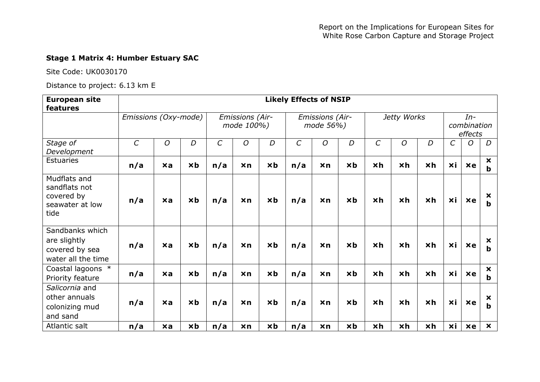#### **Stage 1 Matrix 4: Humber Estuary SAC**

Site Code: UK0030170

Distance to project: 6.13 km E

| <b>European site</b><br>features                                        |               | <b>Likely Effects of NSIP</b><br>Emissions (Oxy-mode)<br><b>Emissions (Air-</b><br><b>Emissions (Air-</b> |                |               |                |                |               |           |                |                |                |                |    |                                 |                                |
|-------------------------------------------------------------------------|---------------|-----------------------------------------------------------------------------------------------------------|----------------|---------------|----------------|----------------|---------------|-----------|----------------|----------------|----------------|----------------|----|---------------------------------|--------------------------------|
|                                                                         |               |                                                                                                           |                |               | mode 100%)     |                |               | mode 56%) |                |                | Jetty Works    |                |    | $In-$<br>combination<br>effects |                                |
| Stage of<br>Development                                                 | $\mathcal{C}$ | O                                                                                                         | D              | $\mathcal{C}$ | $\overline{O}$ | D              | $\mathcal{C}$ | O         | D              | C              | $\overline{O}$ | D              | C  | $\overline{O}$                  | D                              |
| <b>Estuaries</b>                                                        | n/a           | $x_{a}$                                                                                                   | x <sub>b</sub> | n/a           | $x_n$          | x <sub>b</sub> | n/a           | $x_n$     | x <sub>b</sub> | x <sub>h</sub> | x <sub>h</sub> | x <sub>h</sub> | xi | xe                              | $\boldsymbol{\mathsf{x}}$<br>b |
| Mudflats and<br>sandflats not<br>covered by<br>seawater at low<br>tide  | n/a           | $x_{a}$                                                                                                   | x <sub>b</sub> | n/a           | $x_n$          | x <sub>b</sub> | n/a           | $x_n$     | $\times b$     | x <sub>h</sub> | x <sub>h</sub> | x <sub>h</sub> | xi | xe                              | $\boldsymbol{\mathsf{x}}$<br>b |
| Sandbanks which<br>are slightly<br>covered by sea<br>water all the time | n/a           | x <sub>a</sub>                                                                                            | x <sub>b</sub> | n/a           | $x_n$          | x <sub>b</sub> | n/a           | $x_n$     | x <sub>b</sub> | x <sub>h</sub> | x <sub>h</sub> | x <sub>h</sub> | xi | xe                              | $\boldsymbol{\mathsf{x}}$<br>b |
| Coastal lagoons<br>$\ast$<br>Priority feature                           | n/a           | x <sub>a</sub>                                                                                            | x <sub>b</sub> | n/a           | $x_n$          | x <sub>b</sub> | n/a           | $x_n$     | x <sub>b</sub> | x <sub>h</sub> | x <sub>h</sub> | x <sub>h</sub> | xi | xe                              | $\boldsymbol{\mathsf{x}}$<br>b |
| Salicornia and<br>other annuals<br>colonizing mud<br>and sand           | n/a           | x <sub>a</sub>                                                                                            | x <sub>b</sub> | n/a           | $x_n$          | x <sub>b</sub> | n/a           | $x_n$     | x <sub>b</sub> | x <sub>h</sub> | x <sub>h</sub> | x <sub>h</sub> | xi | xe                              | $\bm{\times}$<br>b             |
| Atlantic salt                                                           | n/a           | $x_{a}$                                                                                                   | x <sub>b</sub> | n/a           | $x_n$          | $\times b$     | n/a           | $x_{n}$   | $\times b$     | x <sub>h</sub> | x <sub>h</sub> | x <sub>h</sub> | xi | xe                              | $\boldsymbol{\mathsf{x}}$      |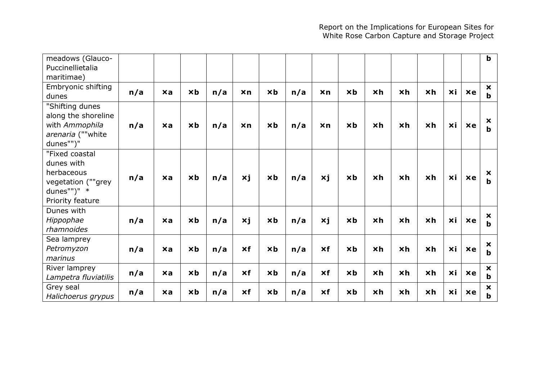#### Report on the Implications for European Sites for White Rose Carbon Capture and Storage Project

| meadows (Glauco-     |     |                |                |     |         |                |     |         |                |                |                |                |    |    | $\mathbf b$               |
|----------------------|-----|----------------|----------------|-----|---------|----------------|-----|---------|----------------|----------------|----------------|----------------|----|----|---------------------------|
| Puccinellietalia     |     |                |                |     |         |                |     |         |                |                |                |                |    |    |                           |
| maritimae)           |     |                |                |     |         |                |     |         |                |                |                |                |    |    |                           |
| Embryonic shifting   | n/a | $x_{a}$        | $\times b$     | n/a | $x_n$   | x <sub>b</sub> | n/a | $x_n$   | x <sub>b</sub> | x <sub>h</sub> | x <sub>h</sub> | x <sub>h</sub> | xi | xe | $\boldsymbol{\mathsf{x}}$ |
| dunes                |     |                |                |     |         |                |     |         |                |                |                |                |    |    | $\mathbf b$               |
| "Shifting dunes      |     |                |                |     |         |                |     |         |                |                |                |                |    |    |                           |
| along the shoreline  |     |                |                |     |         |                |     |         |                |                |                |                |    |    | $\bm{x}$                  |
| with Ammophila       | n/a | x <sub>a</sub> | $\times b$     | n/a | $x_{n}$ | x <sub>b</sub> | n/a | $x_{n}$ | x <sub>b</sub> | x <sub>h</sub> | x <sub>h</sub> | x <sub>h</sub> | xi | xe | b                         |
| arenaria (""white    |     |                |                |     |         |                |     |         |                |                |                |                |    |    |                           |
| dunes"")"            |     |                |                |     |         |                |     |         |                |                |                |                |    |    |                           |
| "Fixed coastal       |     |                |                |     |         |                |     |         |                |                |                |                |    |    |                           |
| dunes with           |     |                |                |     |         |                |     |         |                |                |                |                |    |    |                           |
| herbaceous           | n/a | $x_{a}$        | x <sub>b</sub> | n/a | $x_{j}$ | x <sub>b</sub> | n/a | $x_{j}$ | x <sub>b</sub> | x <sub>h</sub> | x <sub>h</sub> | x <sub>h</sub> | xi | xe | $\bm{x}$                  |
| vegetation (""grey   |     |                |                |     |         |                |     |         |                |                |                |                |    |    | b                         |
| dunes"")" *          |     |                |                |     |         |                |     |         |                |                |                |                |    |    |                           |
| Priority feature     |     |                |                |     |         |                |     |         |                |                |                |                |    |    |                           |
| Dunes with           |     |                |                |     |         |                |     |         |                |                |                |                |    |    | $\boldsymbol{\mathsf{x}}$ |
| Hippophae            | n/a | $x_{a}$        | x <sub>b</sub> | n/a | $x_{j}$ | x <sub>b</sub> | n/a | $x_{j}$ | x <sub>b</sub> | x <sub>h</sub> | x <sub>h</sub> | x <sub>h</sub> | xi | xe | b                         |
| rhamnoides           |     |                |                |     |         |                |     |         |                |                |                |                |    |    |                           |
| Sea lamprey          |     |                |                |     |         |                |     |         |                |                |                |                |    |    | $\boldsymbol{\mathsf{x}}$ |
| Petromyzon           | n/a | $x_{a}$        | x <sub>b</sub> | n/a | xf      | x <sub>b</sub> | n/a | xf      | x <sub>b</sub> | x <sub>h</sub> | x <sub>h</sub> | x <sub>h</sub> | xi | xe | b                         |
| marinus              |     |                |                |     |         |                |     |         |                |                |                |                |    |    |                           |
| River lamprey        | n/a | $x_{a}$        | $\times b$     | n/a | xf      | x <sub>b</sub> | n/a | xf      | x <sub>b</sub> | x <sub>h</sub> | x <sub>h</sub> | x <sub>h</sub> | xi | xe | $\boldsymbol{\mathsf{x}}$ |
| Lampetra fluviatilis |     |                |                |     |         |                |     |         |                |                |                |                |    |    | b                         |
| Grey seal            | n/a | x <sub>a</sub> | x <sub>b</sub> | n/a | xf      | x <sub>b</sub> | n/a | xf      | x <sub>b</sub> | x <sub>h</sub> | x <sub>h</sub> | x <sub>h</sub> | xi | xe | $\boldsymbol{\mathsf{x}}$ |
| Halichoerus grypus   |     |                |                |     |         |                |     |         |                |                |                |                |    |    | b                         |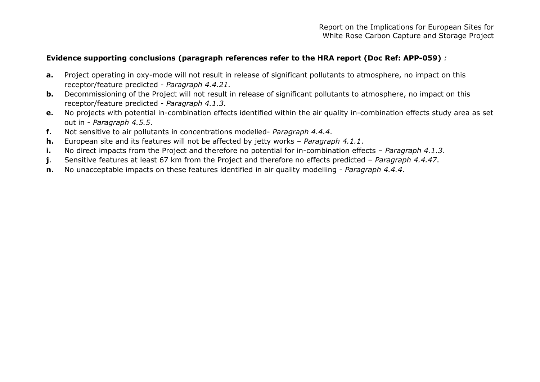- **a.** Project operating in oxy-mode will not result in release of significant pollutants to atmosphere, no impact on this receptor/feature predicted - *Paragraph 4.4.21*.
- **b.** Decommissioning of the Project will not result in release of significant pollutants to atmosphere, no impact on this receptor/feature predicted - *Paragraph 4.1.3*.
- **e.** No projects with potential in-combination effects identified within the air quality in-combination effects study area as set out in - *Paragraph 4.5.5*.
- **f.** Not sensitive to air pollutants in concentrations modelled- *Paragraph 4.4.4*.
- **h.** European site and its features will not be affected by jetty works *Paragraph 4.1.1*.
- **i.** No direct impacts from the Project and therefore no potential for in-combination effects *Paragraph 4.1.3*.
- **j**. Sensitive features at least 67 km from the Project and therefore no effects predicted *Paragraph 4.4.47*.
- **n.** No unacceptable impacts on these features identified in air quality modelling *Paragraph 4.4.4*.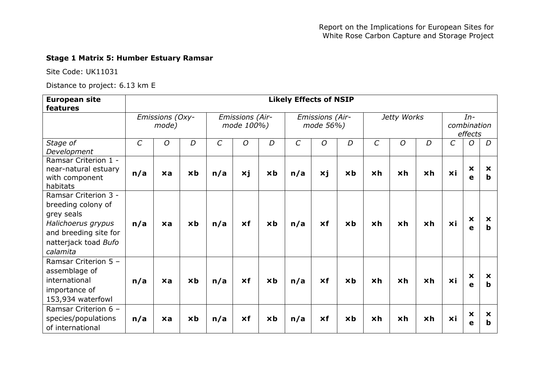#### **Stage 1 Matrix 5: Humber Estuary Ramsar**

Site Code: UK11031

Distance to project: 6.13 km E

| <b>European site</b><br>features                                                                                                            |     | <b>Likely Effects of NSIP</b>   |                |               |                                      |                |     |                                     |                |                |                |                |                       |                                          |                                |
|---------------------------------------------------------------------------------------------------------------------------------------------|-----|---------------------------------|----------------|---------------|--------------------------------------|----------------|-----|-------------------------------------|----------------|----------------|----------------|----------------|-----------------------|------------------------------------------|--------------------------------|
|                                                                                                                                             |     | <b>Emissions (Oxy-</b><br>mode) |                |               | <b>Emissions (Air-</b><br>mode 100%) |                |     | <b>Emissions (Air-</b><br>mode 56%) |                |                | Jetty Works    |                |                       | $In-$<br>combination<br>effects          |                                |
| Stage of<br>Development                                                                                                                     | C   | $\overline{O}$                  | D              | $\mathcal{C}$ | $\overline{O}$                       | D              | C   | O                                   | D              | $\mathcal{C}$  | $\overline{O}$ | D              | $\mathcal{C}_{0}^{2}$ | $\overline{O}$                           | D                              |
| Ramsar Criterion 1 -<br>near-natural estuary<br>with component<br>habitats                                                                  | n/a | $x_{a}$                         | x <sub>b</sub> | n/a           | $xi_{j}$                             | x <sub>b</sub> | n/a | $xi_{j}$                            | x <sub>b</sub> | x <sub>h</sub> | x <sub>h</sub> | x <sub>h</sub> | xi                    | $\boldsymbol{\mathsf{x}}$<br>$\mathbf e$ | $\boldsymbol{\mathsf{x}}$<br>b |
| Ramsar Criterion 3 -<br>breeding colony of<br>grey seals<br>Halichoerus grypus<br>and breeding site for<br>natterjack toad Bufo<br>calamita | n/a | $x_{a}$                         | x <sub>b</sub> | n/a           | xf                                   | x <sub>b</sub> | n/a | xf                                  | x <sub>b</sub> | x <sub>h</sub> | x <sub>h</sub> | x <sub>h</sub> | xi                    | $\boldsymbol{\mathsf{x}}$<br>$\mathbf e$ | $\boldsymbol{\mathsf{x}}$<br>b |
| Ramsar Criterion 5 -<br>assemblage of<br>international<br>importance of<br>153,934 waterfowl                                                | n/a | x <sub>a</sub>                  | x <sub>b</sub> | n/a           | xf                                   | x <sub>b</sub> | n/a | xf                                  | x <sub>b</sub> | x <sub>h</sub> | x <sub>h</sub> | x <sub>h</sub> | xi                    | $\boldsymbol{\mathsf{x}}$<br>e           | $\boldsymbol{\mathsf{x}}$<br>b |
| Ramsar Criterion 6 -<br>species/populations<br>of international                                                                             | n/a | $x_{a}$                         | $\times b$     | n/a           | xf                                   | x <sub>b</sub> | n/a | xf                                  | x <sub>b</sub> | $\times h$     | x <sub>h</sub> | x <sub>h</sub> | xi                    | $\boldsymbol{\mathsf{x}}$<br>e           | $\boldsymbol{\mathsf{x}}$<br>b |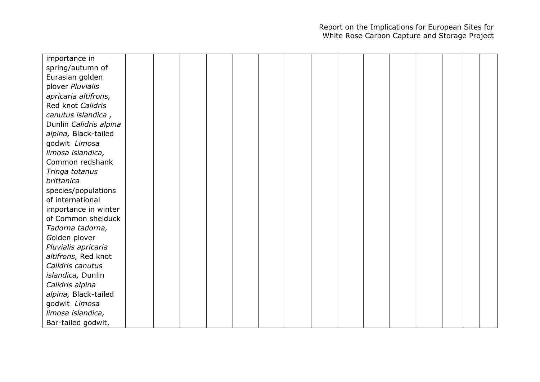| importance in          |  |  |  |  |  |  |  |  |
|------------------------|--|--|--|--|--|--|--|--|
| spring/autumn of       |  |  |  |  |  |  |  |  |
| Eurasian golden        |  |  |  |  |  |  |  |  |
| plover Pluvialis       |  |  |  |  |  |  |  |  |
| apricaria altifrons,   |  |  |  |  |  |  |  |  |
| Red knot Calidris      |  |  |  |  |  |  |  |  |
| canutus islandica,     |  |  |  |  |  |  |  |  |
| Dunlin Calidris alpina |  |  |  |  |  |  |  |  |
| alpina, Black-tailed   |  |  |  |  |  |  |  |  |
| godwit Limosa          |  |  |  |  |  |  |  |  |
| limosa islandica,      |  |  |  |  |  |  |  |  |
| Common redshank        |  |  |  |  |  |  |  |  |
| Tringa totanus         |  |  |  |  |  |  |  |  |
| brittanica             |  |  |  |  |  |  |  |  |
| species/populations    |  |  |  |  |  |  |  |  |
| of international       |  |  |  |  |  |  |  |  |
| importance in winter   |  |  |  |  |  |  |  |  |
| of Common shelduck     |  |  |  |  |  |  |  |  |
| Tadorna tadorna,       |  |  |  |  |  |  |  |  |
| Golden plover          |  |  |  |  |  |  |  |  |
| Pluvialis apricaria    |  |  |  |  |  |  |  |  |
| altifrons, Red knot    |  |  |  |  |  |  |  |  |
| Calidris canutus       |  |  |  |  |  |  |  |  |
| islandica, Dunlin      |  |  |  |  |  |  |  |  |
| Calidris alpina        |  |  |  |  |  |  |  |  |
| alpina, Black-tailed   |  |  |  |  |  |  |  |  |
| godwit Limosa          |  |  |  |  |  |  |  |  |
| limosa islandica,      |  |  |  |  |  |  |  |  |
| Bar-tailed godwit,     |  |  |  |  |  |  |  |  |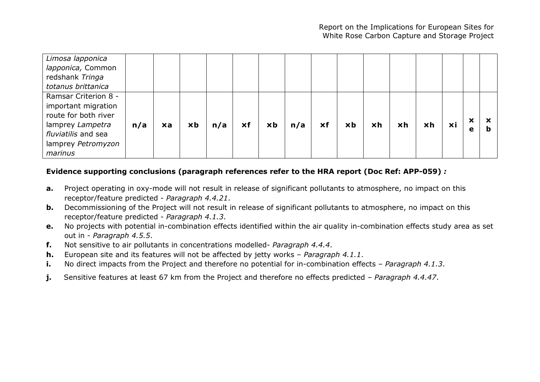| Limosa lapponica     |     |         |                |     |    |            |     |            |                |                |                |                |                         |                                |   |
|----------------------|-----|---------|----------------|-----|----|------------|-----|------------|----------------|----------------|----------------|----------------|-------------------------|--------------------------------|---|
| lapponica, Common    |     |         |                |     |    |            |     |            |                |                |                |                |                         |                                |   |
| redshank Tringa      |     |         |                |     |    |            |     |            |                |                |                |                |                         |                                |   |
| totanus brittanica   |     |         |                |     |    |            |     |            |                |                |                |                |                         |                                |   |
| Ramsar Criterion 8 - |     |         |                |     |    |            |     |            |                |                |                |                |                         |                                |   |
| important migration  |     |         |                |     |    |            |     |            |                |                |                |                |                         |                                |   |
| route for both river |     |         |                |     |    |            |     |            |                |                |                |                |                         |                                |   |
| lamprey Lampetra     | n/a | $x_{a}$ | x <sub>b</sub> | n/a | xf | $\times b$ | n/a | $\times f$ | x <sub>b</sub> | x <sub>h</sub> | x <sub>h</sub> | x <sub>h</sub> | $\boldsymbol{\times}$ i | $\boldsymbol{\mathsf{x}}$<br>е | × |
| fluviatilis and sea  |     |         |                |     |    |            |     |            |                |                |                |                |                         |                                |   |
| lamprey Petromyzon   |     |         |                |     |    |            |     |            |                |                |                |                |                         |                                |   |
| marinus              |     |         |                |     |    |            |     |            |                |                |                |                |                         |                                |   |

- **a.** Project operating in oxy-mode will not result in release of significant pollutants to atmosphere, no impact on this receptor/feature predicted - *Paragraph 4.4.21*.
- **b.** Decommissioning of the Project will not result in release of significant pollutants to atmosphere, no impact on this receptor/feature predicted - *Paragraph 4.1.3*.
- **e.** No projects with potential in-combination effects identified within the air quality in-combination effects study area as set out in - *Paragraph 4.5.5*.
- **f.** Not sensitive to air pollutants in concentrations modelled- *Paragraph 4.4.4*.
- **h.** European site and its features will not be affected by jetty works *Paragraph 4.1.1*.
- **i.** No direct impacts from the Project and therefore no potential for in-combination effects *Paragraph 4.1.3*.
- **j.** Sensitive features at least 67 km from the Project and therefore no effects predicted *Paragraph 4.4.47*.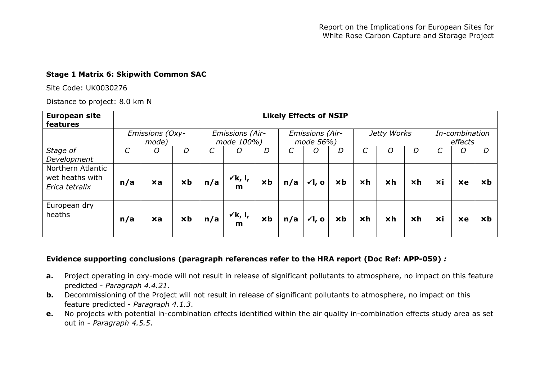#### **Stage 1 Matrix 6: Skipwith Common SAC**

Site Code: UK0030276

Distance to project: 8.0 km N

| <b>European site</b><br>features                       |     | <b>Likely Effects of NSIP</b><br>Jetty Works<br>In-combination<br><b>Emissions (Oxy-</b><br><b>Emissions (Air-</b><br><b>Emissions (Air-</b> |            |     |                         |                |     |                  |                |                |                |                |         |    |                |
|--------------------------------------------------------|-----|----------------------------------------------------------------------------------------------------------------------------------------------|------------|-----|-------------------------|----------------|-----|------------------|----------------|----------------|----------------|----------------|---------|----|----------------|
|                                                        |     | mode 100%)<br>mode 56%)<br>mode)<br>D<br>D<br>D<br>O<br>O<br>$\overline{O}$<br>D<br>O                                                        |            |     |                         |                |     |                  |                |                |                |                | effects |    |                |
| Stage of<br>Development                                | С   |                                                                                                                                              |            |     |                         |                |     |                  |                |                |                | Ω              | D       |    |                |
| Northern Atlantic<br>wet heaths with<br>Erica tetralix | n/a | x <sub>a</sub>                                                                                                                               | $\times b$ | n/a | $\checkmark$ k, l,<br>m | x <sub>b</sub> | n/a | $\checkmark$ , o | x <sub>b</sub> | x <sub>h</sub> | x <sub>h</sub> | x <sub>h</sub> | xi      | xe | x <sub>b</sub> |
| European dry<br>heaths                                 | n/a | x <sub>a</sub>                                                                                                                               | $\times b$ | n/a | $\mathbf{K}$ , I,<br>m  | x <sub>b</sub> | n/a | $\checkmark$ , o | x <sub>b</sub> | x <sub>h</sub> | x <sub>h</sub> | x <sub>h</sub> | $xi$ i  | xe | x <sub>b</sub> |

- **a.** Project operating in oxy-mode will not result in release of significant pollutants to atmosphere, no impact on this feature predicted - *Paragraph 4.4.21*.
- **b.** Decommissioning of the Project will not result in release of significant pollutants to atmosphere, no impact on this feature predicted - *Paragraph 4.1.3*.
- **e.** No projects with potential in-combination effects identified within the air quality in-combination effects study area as set out in - *Paragraph 4.5.5*.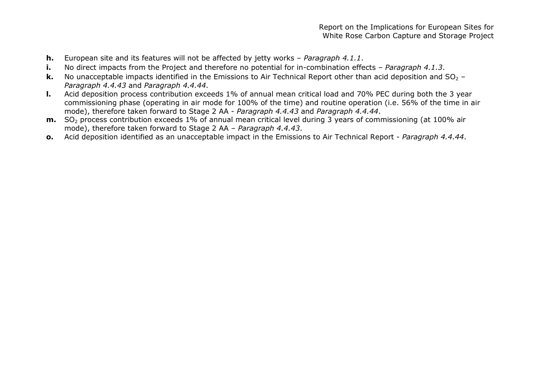- **h.** European site and its features will not be affected by jetty works *Paragraph 4.1.1*.
- **i.** No direct impacts from the Project and therefore no potential for in-combination effects *Paragraph 4.1.3*.
- **k.** No unacceptable impacts identified in the Emissions to Air Technical Report other than acid deposition and  $SO<sub>2</sub>$  *Paragraph 4.4.43* and *Paragraph 4.4.44*.
- **l.** Acid deposition process contribution exceeds 1% of annual mean critical load and 70% PEC during both the 3 year commissioning phase (operating in air mode for 100% of the time) and routine operation (i.e. 56% of the time in air mode), therefore taken forward to Stage 2 AA - *Paragraph 4.4.43* and *Paragraph 4.4.44*.
- **m.** SO<sub>2</sub> process contribution exceeds 1% of annual mean critical level during 3 years of commissioning (at 100% air mode), therefore taken forward to Stage 2 AA – *Paragraph 4.4.43*.
- **o.** Acid deposition identified as an unacceptable impact in the Emissions to Air Technical Report *Paragraph 4.4.44*.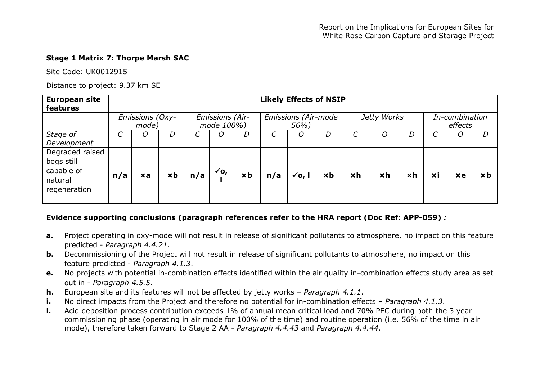#### **Stage 1 Matrix 7: Thorpe Marsh SAC**

Site Code: UK0012915

Distance to project: 9.37 km SE

| <b>European site</b><br>features                                       |     | <b>Likely Effects of NSIP</b><br><b>Emissions (Air-</b><br><b>Emissions (Oxy-</b><br>Emissions (Air-mode<br>Jetty Works<br>In-combination |                |     |                 |                |     |                   |                |                |                |                |                         |         |            |
|------------------------------------------------------------------------|-----|-------------------------------------------------------------------------------------------------------------------------------------------|----------------|-----|-----------------|----------------|-----|-------------------|----------------|----------------|----------------|----------------|-------------------------|---------|------------|
|                                                                        |     | mode)                                                                                                                                     |                |     | mode 100%)      |                |     | 56%)              |                |                |                |                |                         | effects |            |
| Stage of<br>Development                                                |     | O                                                                                                                                         | D              |     | O               | D              | ⌒   | O                 | D              |                | Ο              | D              | ⌒<br>C                  | O       | D          |
| Degraded raised<br>bogs still<br>capable of<br>natural<br>regeneration | n/a | $x_{a}$                                                                                                                                   | x <sub>b</sub> | n/a | $\checkmark$ o, | x <sub>b</sub> | n/a | $\checkmark$ o, I | x <sub>b</sub> | x <sub>h</sub> | x <sub>h</sub> | x <sub>h</sub> | $\boldsymbol{\times}$ i | xe      | $\times b$ |

- **a.** Project operating in oxy-mode will not result in release of significant pollutants to atmosphere, no impact on this feature predicted - *Paragraph 4.4.21*.
- **b.** Decommissioning of the Project will not result in release of significant pollutants to atmosphere, no impact on this feature predicted - *Paragraph 4.1.3*.
- **e.** No projects with potential in-combination effects identified within the air quality in-combination effects study area as set out in - *Paragraph 4.5.5*.
- **h.** European site and its features will not be affected by jetty works *Paragraph 4.1.1*.
- **i.** No direct impacts from the Project and therefore no potential for in-combination effects *Paragraph 4.1.3*.
- **l.** Acid deposition process contribution exceeds 1% of annual mean critical load and 70% PEC during both the 3 year commissioning phase (operating in air mode for 100% of the time) and routine operation (i.e. 56% of the time in air mode), therefore taken forward to Stage 2 AA - *Paragraph 4.4.43* and *Paragraph 4.4.44*.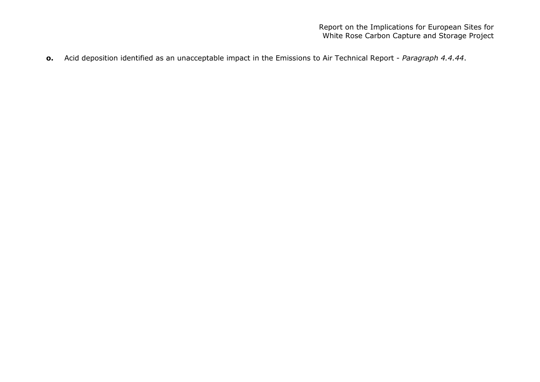Report on the Implications for European Sites for White Rose Carbon Capture and Storage Project

**o.** Acid deposition identified as an unacceptable impact in the Emissions to Air Technical Report - *Paragraph 4.4.44*.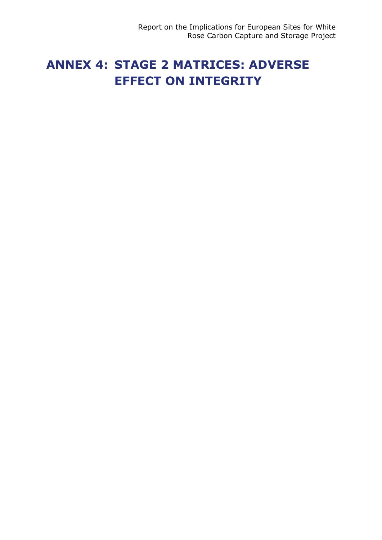# **ANNEX 4: STAGE 2 MATRICES: ADVERSE EFFECT ON INTEGRITY**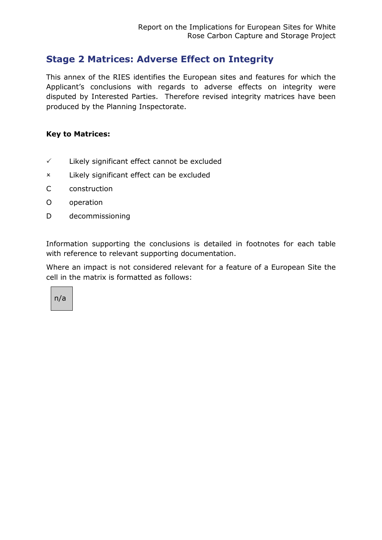### **Stage 2 Matrices: Adverse Effect on Integrity**

This annex of the RIES identifies the European sites and features for which the Applicant's conclusions with regards to adverse effects on integrity were disputed by Interested Parties. Therefore revised integrity matrices have been produced by the Planning Inspectorate.

#### **Key to Matrices:**

- $\checkmark$  Likely significant effect cannot be excluded
- Likely significant effect can be excluded
- C construction
- O operation
- D decommissioning

Information supporting the conclusions is detailed in footnotes for each table with reference to relevant supporting documentation.

Where an impact is not considered relevant for a feature of a European Site the cell in the matrix is formatted as follows:

n/a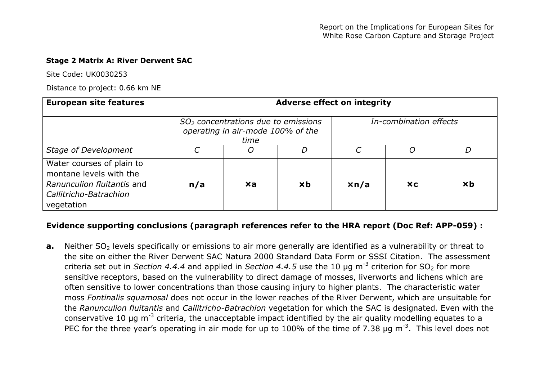#### **Stage 2 Matrix A: River Derwent SAC**

Site Code: UK0030253

Distance to project: 0.66 km NE

| <b>European site features</b>                                                                                              |     |                                                                                    | <b>Adverse effect on integrity</b> |         |                        |            |
|----------------------------------------------------------------------------------------------------------------------------|-----|------------------------------------------------------------------------------------|------------------------------------|---------|------------------------|------------|
|                                                                                                                            |     | $SO2$ concentrations due to emissions<br>operating in air-mode 100% of the<br>time |                                    |         | In-combination effects |            |
| Stage of Development                                                                                                       |     | O                                                                                  |                                    |         | O                      | D          |
| Water courses of plain to<br>montane levels with the<br>Ranunculion fluitantis and<br>Callitricho-Batrachion<br>vegetation | n/a | xa                                                                                 | x <sub>b</sub>                     | $x_n/a$ | $\bm{X}$ C             | $\times b$ |

#### **Evidence supporting conclusions (paragraph references refer to the HRA report (Doc Ref: APP-059) :**

**a.** Neither SO<sub>2</sub> levels specifically or emissions to air more generally are identified as a vulnerability or threat to the site on either the River Derwent SAC Natura 2000 Standard Data Form or SSSI Citation. The assessment criteria set out in *Section 4.4.4* and applied in *Section 4.4.5* use the 10 µg m<sup>-3</sup> criterion for SO<sub>2</sub> for more sensitive receptors, based on the vulnerability to direct damage of mosses, liverworts and lichens which are often sensitive to lower concentrations than those causing injury to higher plants. The characteristic water moss *Fontinalis squamosal* does not occur in the lower reaches of the River Derwent, which are unsuitable for the *Ranunculion fluitantis* and *Callitricho-Batrachion* vegetation for which the SAC is designated. Even with the conservative 10 µg m<sup>-3</sup> criteria, the unacceptable impact identified by the air quality modelling equates to a PEC for the three year's operating in air mode for up to 100% of the time of 7.38  $\mu$ g m<sup>-3</sup>. This level does not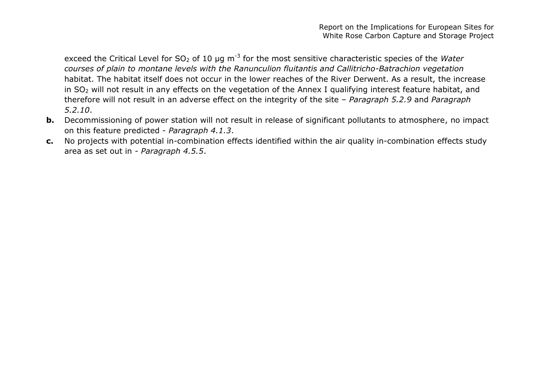exceed the Critical Level for SO<sub>2</sub> of 10 µg m<sup>-3</sup> for the most sensitive characteristic species of the *Water courses of plain to montane levels with the Ranunculion fluitantis and Callitricho-Batrachion vegetation* habitat. The habitat itself does not occur in the lower reaches of the River Derwent. As a result, the increase in  $SO<sub>2</sub>$  will not result in any effects on the vegetation of the Annex I qualifying interest feature habitat, and therefore will not result in an adverse effect on the integrity of the site – *Paragraph 5.2.9* and *Paragraph 5.2.10*.

- **b.** Decommissioning of power station will not result in release of significant pollutants to atmosphere, no impact on this feature predicted - *Paragraph 4.1.3*.
- **c.** No projects with potential in-combination effects identified within the air quality in-combination effects study area as set out in *- Paragraph 4.5.5*.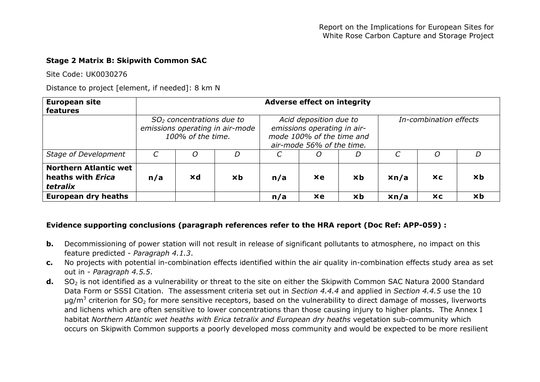#### **Stage 2 Matrix B: Skipwith Common SAC**

Site Code: UK0030276

Distance to project [element, if needed]: 8 km N

| <b>European site</b><br>features                                     | <b>Adverse effect on integrity</b>                                                  |            |                |                                                                                                                 |    |                |                        |                       |            |  |  |  |
|----------------------------------------------------------------------|-------------------------------------------------------------------------------------|------------|----------------|-----------------------------------------------------------------------------------------------------------------|----|----------------|------------------------|-----------------------|------------|--|--|--|
|                                                                      | $SO2$ concentrations due to<br>emissions operating in air-mode<br>100% of the time. |            |                | Acid deposition due to<br>emissions operating in air-<br>mode 100% of the time and<br>air-mode 56% of the time. |    |                | In-combination effects |                       |            |  |  |  |
| Stage of Development                                                 | C                                                                                   |            | D.             | Ċ                                                                                                               | O  | D              |                        | O                     | D          |  |  |  |
| <b>Northern Atlantic wet</b><br>heaths with <i>Erica</i><br>tetralix | n/a                                                                                 | $\times d$ | x <sub>b</sub> | n/a                                                                                                             | xe | x <sub>b</sub> | $x_n/a$                | xc                    | $\times b$ |  |  |  |
| <b>European dry heaths</b>                                           |                                                                                     |            |                | n/a                                                                                                             | xe | x <sub>b</sub> | $x_n/a$                | $\boldsymbol{\times}$ | $\times b$ |  |  |  |

- **b.** Decommissioning of power station will not result in release of significant pollutants to atmosphere, no impact on this feature predicted - *Paragraph 4.1.3*.
- **c.** No projects with potential in-combination effects identified within the air quality in-combination effects study area as set out in *- Paragraph 4.5.5*.
- d. SO<sub>2</sub> is not identified as a vulnerability or threat to the site on either the Skipwith Common SAC Natura 2000 Standard Data Form or SSSI Citation. The assessment criteria set out in *Section 4.4.4* and applied in *Section 4.4.5* use the 10  $\mu$ g/m<sup>3</sup> criterion for SO<sub>2</sub> for more sensitive receptors, based on the vulnerability to direct damage of mosses, liverworts and lichens which are often sensitive to lower concentrations than those causing injury to higher plants. The Annex I habitat *Northern Atlantic wet heaths with Erica tetralix and European dry heaths* vegetation sub-community which occurs on Skipwith Common supports a poorly developed moss community and would be expected to be more resilient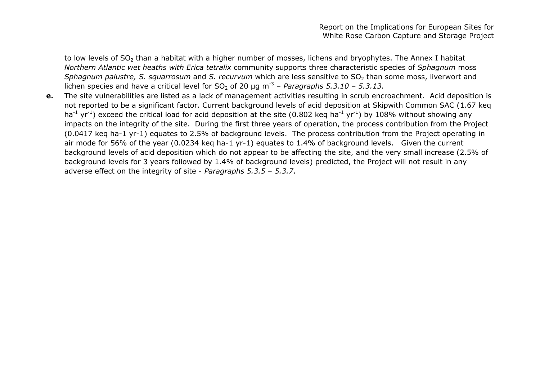to low levels of  $SO<sub>2</sub>$  than a habitat with a higher number of mosses, lichens and bryophytes. The Annex I habitat *Northern Atlantic wet heaths with Erica tetralix* community supports three characteristic species of *Sphagnum* moss *Sphagnum palustre, S. squarrosum* and *S. recurvum* which are less sensitive to SO<sub>2</sub> than some moss, liverwort and lichen species and have a critical level for SO<sub>2</sub> of 20  $\mu$ g m<sup>-3</sup> – *Paragraphs 5.3.10 – 5.3.13*.

**e.** The site vulnerabilities are listed as a lack of management activities resulting in scrub encroachment. Acid deposition is not reported to be a significant factor. Current background levels of acid deposition at Skipwith Common SAC (1.67 keq ha<sup>-1</sup> yr<sup>-1</sup>) exceed the critical load for acid deposition at the site (0.802 keq ha<sup>-1</sup> yr<sup>-1</sup>) by 108% without showing any impacts on the integrity of the site. During the first three years of operation, the process contribution from the Project (0.0417 keq ha-1 yr-1) equates to 2.5% of background levels. The process contribution from the Project operating in air mode for 56% of the year (0.0234 keq ha-1 yr-1) equates to 1.4% of background levels. Given the current background levels of acid deposition which do not appear to be affecting the site, and the very small increase (2.5% of background levels for 3 years followed by 1.4% of background levels) predicted, the Project will not result in any adverse effect on the integrity of site - *Paragraphs 5.3.5 – 5.3.7*.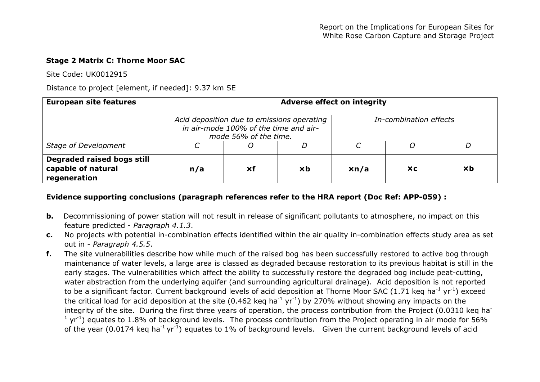#### **Stage 2 Matrix C: Thorne Moor SAC**

Site Code: UK0012915

#### Distance to project [element, if needed]: 9.37 km SE

| <b>European site features</b>                                           | <b>Adverse effect on integrity</b>                                                                           |            |                |                        |               |            |  |  |  |
|-------------------------------------------------------------------------|--------------------------------------------------------------------------------------------------------------|------------|----------------|------------------------|---------------|------------|--|--|--|
|                                                                         | Acid deposition due to emissions operating<br>in air-mode 100% of the time and air-<br>mode 56% of the time. |            |                | In-combination effects |               |            |  |  |  |
| Stage of Development                                                    |                                                                                                              |            |                |                        |               |            |  |  |  |
| <b>Degraded raised bogs still</b><br>capable of natural<br>regeneration | n/a                                                                                                          | $\times f$ | x <sub>b</sub> | $x_n/a$                | $\mathsf{xc}$ | $\times b$ |  |  |  |

- **b.** Decommissioning of power station will not result in release of significant pollutants to atmosphere, no impact on this feature predicted - *Paragraph 4.1.3*.
- **c.** No projects with potential in-combination effects identified within the air quality in-combination effects study area as set out in *- Paragraph 4.5.5*.
- **f.** The site vulnerabilities describe how while much of the raised bog has been successfully restored to active bog through maintenance of water levels, a large area is classed as degraded because restoration to its previous habitat is still in the early stages. The vulnerabilities which affect the ability to successfully restore the degraded bog include peat-cutting, water abstraction from the underlying aquifer (and surrounding agricultural drainage). Acid deposition is not reported to be a significant factor. Current background levels of acid deposition at Thorne Moor SAC (1.71 keq ha<sup>-1</sup> yr<sup>-1</sup>) exceed the critical load for acid deposition at the site (0.462 keq ha<sup>-1</sup> yr<sup>-1</sup>) by 270% without showing any impacts on the integrity of the site. During the first three years of operation, the process contribution from the Project (0.0310 keg ha<sup>-</sup>  $1\ \rm{yr}^{-1}$ ) equates to 1.8% of background levels. The process contribution from the Project operating in air mode for 56% of the year (0.0174 keq ha<sup>-1</sup> yr<sup>-1</sup>) equates to 1% of background levels. Given the current background levels of acid